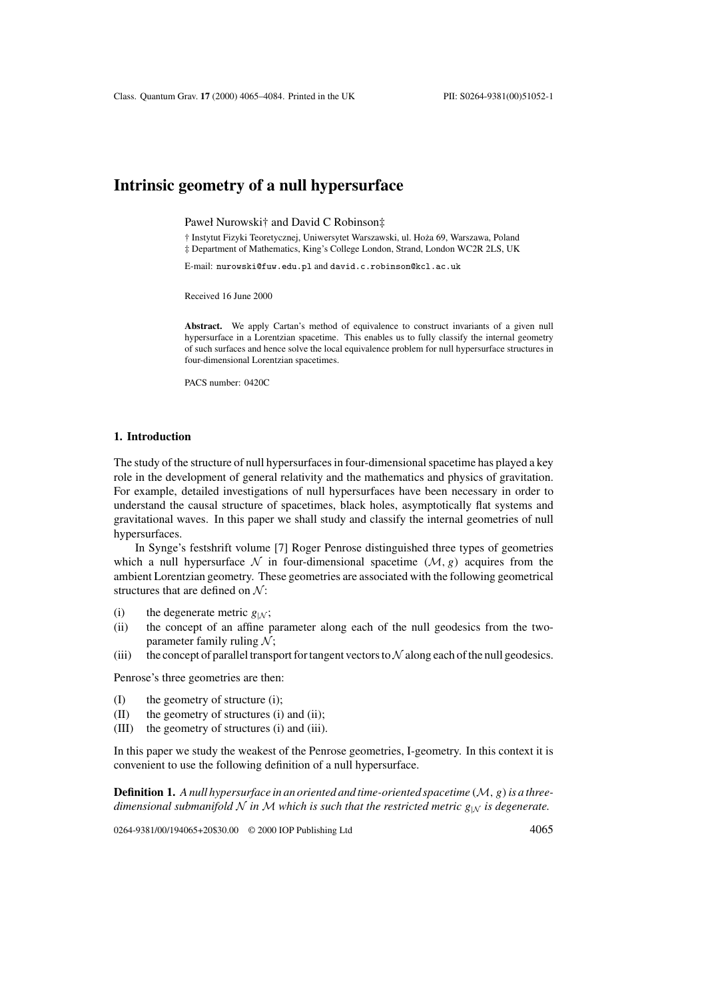# **Intrinsic geometry of a null hypersurface**

Paweł Nurowski† and David C Robinson‡

† Instytut Fizyki Teoretycznej, Uniwersytet Warszawski, ul. Hoza 69, Warszawa, Poland ˙ ‡ Department of Mathematics, King's College London, Strand, London WC2R 2LS, UK

E-mail: nurowski@fuw.edu.pl and david.c.robinson@kcl.ac.uk

Received 16 June 2000

Abstract. We apply Cartan's method of equivalence to construct invariants of a given null hypersurface in a Lorentzian spacetime. This enables us to fully classify the internal geometry of such surfaces and hence solve the local equivalence problem for null hypersurface structures in four-dimensional Lorentzian spacetimes.

PACS number: 0420C

#### **1. Introduction**

The study of the structure of null hypersurfaces in four-dimensional spacetime has played a key role in the development of general relativity and the mathematics and physics of gravitation. For example, detailed investigations of null hypersurfaces have been necessary in order to understand the causal structure of spacetimes, black holes, asymptotically flat systems and gravitational waves. In this paper we shall study and classify the internal geometries of null hypersurfaces.

In Synge's festshrift volume [7] Roger Penrose distinguished three types of geometries which a null hypersurface N in four-dimensional spacetime  $(M, g)$  acquires from the ambient Lorentzian geometry. These geometries are associated with the following geometrical structures that are defined on  $\mathcal{N}$ :

- (i) the degenerate metric  $g_{|N}$ ;<br>(ii) the concept of an affine r
- the concept of an affine parameter along each of the null geodesics from the twoparameter family ruling  $\mathcal{N}$ ;
- (iii) the concept of parallel transport for tangent vectors to  $\mathcal N$  along each of the null geodesics.

Penrose's three geometries are then:

- (I) the geometry of structure (i);
- (II) the geometry of structures (i) and (ii);
- (III) the geometry of structures (i) and (iii).

In this paper we study the weakest of the Penrose geometries, I-geometry. In this context it is convenient to use the following definition of a null hypersurface.

**Definition 1.** *A null hypersurface in an oriented and time-oriented spacetime* (M, g)*is a threedimensional submanifold* N *in* M *which is such that the restricted metric*  $g_{|N}$  *is degenerate.* 

0264-9381/00/194065+20\$30.00 © 2000 IOP Publishing Ltd 4065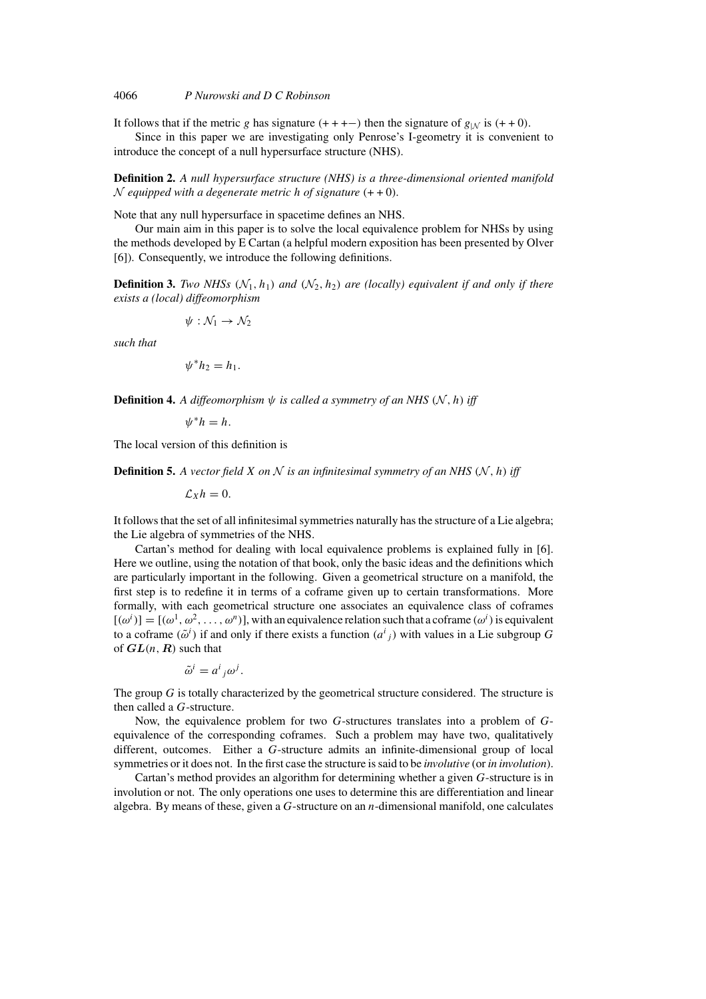It follows that if the metric g has signature  $(+ + + -)$  then the signature of  $g_{|N}$  is  $(+ + 0)$ .

Since in this paper we are investigating only Penrose's I-geometry it is convenient to introduce the concept of a null hypersurface structure (NHS).

**Definition 2.** *A null hypersurface structure (NHS) is a three-dimensional oriented manifold*  $\mathcal N$  *equipped with a degenerate metric h of signature*  $(+ + 0)$ *.* 

Note that any null hypersurface in spacetime defines an NHS.

Our main aim in this paper is to solve the local equivalence problem for NHSs by using the methods developed by E Cartan (a helpful modern exposition has been presented by Olver [6]). Consequently, we introduce the following definitions.

**Definition 3.** *Two NHSs*  $(N_1, h_1)$  *and*  $(N_2, h_2)$  *are (locally) equivalent if and only if there exists a (local) diffeomorphism*

$$
\psi:\mathcal{N}_1\to\mathcal{N}_2
$$

*such that*

$$
\psi^* h_2 = h_1.
$$

**Definition 4.** *A diffeomorphism*  $\psi$  *is called a symmetry of an NHS*  $(N, h)$  *iff* 

 $\psi^*h = h$ .

The local version of this definition is

**Definition 5.** A vector field X on N is an infinitesimal symmetry of an NHS (N, h) iff

$$
\mathcal{L}_X h = 0.
$$

It follows that the set of all infinitesimal symmetries naturally has the structure of a Lie algebra; the Lie algebra of symmetries of the NHS.

Cartan's method for dealing with local equivalence problems is explained fully in [6]. Here we outline, using the notation of that book, only the basic ideas and the definitions which are particularly important in the following. Given a geometrical structure on a manifold, the first step is to redefine it in terms of a coframe given up to certain transformations. More formally, with each geometrical structure one associates an equivalence class of coframes  $[(\omega^i)]=[(\omega^1,\omega^2,\ldots,\omega^n)]$ , with an equivalence relation such that a coframe  $(\omega^i)$  is equivalent to a coframe  $(\tilde{\omega}^i)$  if and only if there exists a function  $(a^i{}_j)$  with values in a Lie subgroup G of  $GL(n, R)$  such that

$$
\tilde{\omega}^i = a^i{}_j \omega^j.
$$

The group  $G$  is totally characterized by the geometrical structure considered. The structure is then called a G-structure.

Now, the equivalence problem for two G-structures translates into a problem of Gequivalence of the corresponding coframes. Such a problem may have two, qualitatively different, outcomes. Either a G-structure admits an infinite-dimensional group of local symmetries or it does not. In the first case the structure is said to be *involutive* (or *in involution*).

Cartan's method provides an algorithm for determining whether a given G-structure is in involution or not. The only operations one uses to determine this are differentiation and linear algebra. By means of these, given a  $G$ -structure on an  $n$ -dimensional manifold, one calculates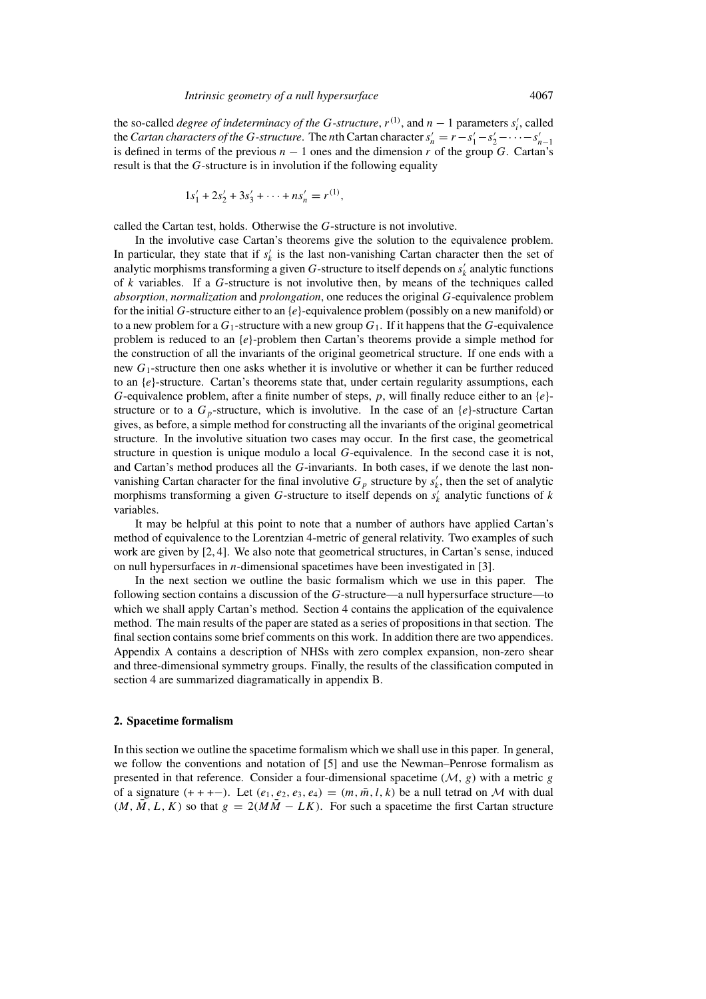the so-called *degree of indeterminacy of the G-structure*,  $r^{(1)}$ , and  $n - 1$  parameters  $s'_i$ , called the *Cartan characters of the G-structure*. The *n*th Cartan character  $s'_n = r - s'_1 - s'_2 - \cdots - s'_{n-1}$ is defined in terms of the previous  $n - 1$  ones and the dimension r of the group G. Cartan's result is that the G-structure is in involution if the following equality

$$
1s'_1 + 2s'_2 + 3s'_3 + \cdots + ns'_n = r^{(1)},
$$

called the Cartan test, holds. Otherwise the G-structure is not involutive.

In the involutive case Cartan's theorems give the solution to the equivalence problem. In particular, they state that if  $s'_{k}$  is the last non-vanishing Cartan character then the set of analytic morphisms transforming a given G-structure to itself depends on  $s'_{k}$  analytic functions of k variables. If a G-structure is not involutive then, by means of the techniques called *absorption*, *normalization* and *prolongation*, one reduces the original G-equivalence problem for the initial G-structure either to an  $\{e\}$ -equivalence problem (possibly on a new manifold) or to a new problem for a  $G_1$ -structure with a new group  $G_1$ . If it happens that the G-equivalence problem is reduced to an  $\{e\}$ -problem then Cartan's theorems provide a simple method for the construction of all the invariants of the original geometrical structure. If one ends with a new  $G_1$ -structure then one asks whether it is involutive or whether it can be further reduced to an  $\{e\}$ -structure. Cartan's theorems state that, under certain regularity assumptions, each G-equivalence problem, after a finite number of steps,  $p$ , will finally reduce either to an  $\{e\}$ structure or to a  $G_p$ -structure, which is involutive. In the case of an  $\{e\}$ -structure Cartan gives, as before, a simple method for constructing all the invariants of the original geometrical structure. In the involutive situation two cases may occur. In the first case, the geometrical structure in question is unique modulo a local G-equivalence. In the second case it is not, and Cartan's method produces all the G-invariants. In both cases, if we denote the last nonvanishing Cartan character for the final involutive  $G_p$  structure by  $s'_k$ , then the set of analytic morphisms transforming a given G-structure to itself depends on  $s'_{k}$  analytic functions of k variables.

It may be helpful at this point to note that a number of authors have applied Cartan's method of equivalence to the Lorentzian 4-metric of general relativity. Two examples of such work are given by [2, 4]. We also note that geometrical structures, in Cartan's sense, induced on null hypersurfaces in n-dimensional spacetimes have been investigated in [3].

In the next section we outline the basic formalism which we use in this paper. The following section contains a discussion of the G-structure—a null hypersurface structure—to which we shall apply Cartan's method. Section 4 contains the application of the equivalence method. The main results of the paper are stated as a series of propositions in that section. The final section contains some brief comments on this work. In addition there are two appendices. Appendix A contains a description of NHSs with zero complex expansion, non-zero shear and three-dimensional symmetry groups. Finally, the results of the classification computed in section 4 are summarized diagramatically in appendix B.

#### **2. Spacetime formalism**

In this section we outline the spacetime formalism which we shall use in this paper. In general, we follow the conventions and notation of [5] and use the Newman–Penrose formalism as presented in that reference. Consider a four-dimensional spacetime  $(M, g)$  with a metric g of a signature  $(+ + + -)$ . Let  $(e_1, e_2, e_3, e_4) = (m, \overline{m}, l, k)$  be a null tetrad on M with dual  $(M, M, L, K)$  so that  $g = 2(MM - LK)$ . For such a spacetime the first Cartan structure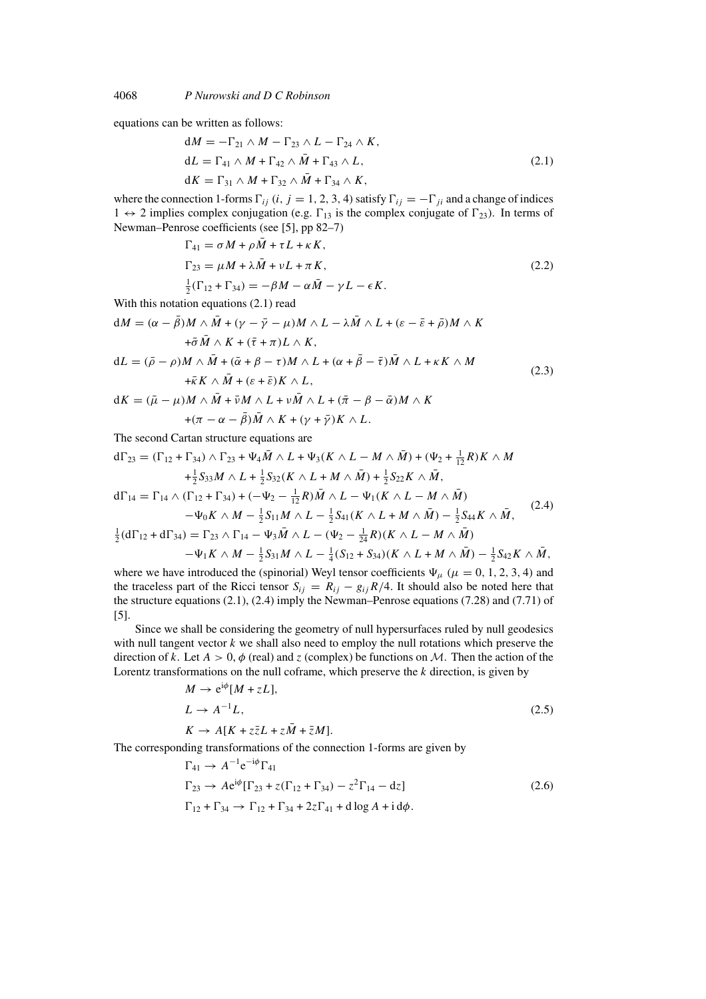equations can be written as follows:

$$
dM = -\Gamma_{21} \wedge M - \Gamma_{23} \wedge L - \Gamma_{24} \wedge K,
$$
  
\n
$$
dL = \Gamma_{41} \wedge M + \Gamma_{42} \wedge \bar{M} + \Gamma_{43} \wedge L,
$$
  
\n
$$
dK = \Gamma_{31} \wedge M + \Gamma_{32} \wedge \bar{M} + \Gamma_{34} \wedge K,
$$
\n(2.1)

where the connection 1-forms  $\Gamma_{ij}$  (i, j = 1, 2, 3, 4) satisfy  $\Gamma_{ij} = -\Gamma_{ji}$  and a change of indices  $1 \leftrightarrow 2$  implies complex conjugation (e.g.  $\Gamma_{13}$  is the complex conjugate of  $\Gamma_{23}$ ). In terms of Newman–Penrose coefficients (see [5], pp 82–7)

$$
\Gamma_{41} = \sigma M + \rho \bar{M} + \tau L + \kappa K,
$$
  
\n
$$
\Gamma_{23} = \mu M + \lambda \bar{M} + \nu L + \pi K,
$$
  
\n
$$
\frac{1}{2} (\Gamma_{12} + \Gamma_{34}) = -\beta M - \alpha \bar{M} - \gamma L - \epsilon K.
$$
\n(2.2)

With this notation equations (2.1) read

$$
dM = (\alpha - \bar{\beta})M \wedge \bar{M} + (\gamma - \bar{\gamma} - \mu)M \wedge L - \lambda \bar{M} \wedge L + (\varepsilon - \bar{\varepsilon} + \bar{\rho})M \wedge K + \bar{\sigma}\bar{M} \wedge K + (\bar{\tau} + \pi)L \wedge K,
$$
  
\n
$$
dL = (\bar{\rho} - \rho)M \wedge \bar{M} + (\bar{\alpha} + \beta - \tau)M \wedge L + (\alpha + \bar{\beta} - \bar{\tau})\bar{M} \wedge L + \kappa K \wedge M + \bar{\kappa}K \wedge \bar{M} + (\varepsilon + \bar{\varepsilon})K \wedge L,
$$
\n(2.3)

$$
dK = (\bar{\mu} - \mu)M \wedge \bar{M} + \bar{\nu}M \wedge L + \nu \bar{M} \wedge L + (\bar{\pi} - \beta - \bar{\alpha})M \wedge K
$$

$$
+ (\pi - \alpha - \bar{\beta})\bar{M} \wedge K + (\gamma + \bar{\gamma})K \wedge L.
$$

The second Cartan structure equations are

$$
d\Gamma_{23} = (\Gamma_{12} + \Gamma_{34}) \wedge \Gamma_{23} + \Psi_4 \bar{M} \wedge L + \Psi_3(K \wedge L - M \wedge \bar{M}) + (\Psi_2 + \frac{1}{12}R)K \wedge M + \frac{1}{2}S_{33}M \wedge L + \frac{1}{2}S_{32}(K \wedge L + M \wedge \bar{M}) + \frac{1}{2}S_{22}K \wedge \bar{M}, d\Gamma_{14} = \Gamma_{14} \wedge (\Gamma_{12} + \Gamma_{34}) + (-\Psi_2 - \frac{1}{12}R)\bar{M} \wedge L - \Psi_1(K \wedge L - M \wedge \bar{M}) - \Psi_0 K \wedge M - \frac{1}{2}S_{11}M \wedge L - \frac{1}{2}S_{41}(K \wedge L + M \wedge \bar{M}) - \frac{1}{2}S_{44}K \wedge \bar{M}, \frac{1}{2}(d\Gamma_{12} + d\Gamma_{34}) = \Gamma_{23} \wedge \Gamma_{14} - \Psi_3 \bar{M} \wedge L - (\Psi_2 - \frac{1}{24}R)(K \wedge L - M \wedge \bar{M}) - \Psi_1 K \wedge M - \frac{1}{2}S_{31}M \wedge L - \frac{1}{4}(S_{12} + S_{34})(K \wedge L + M \wedge \bar{M}) - \frac{1}{2}S_{42}K \wedge \bar{M},
$$
\n(2.4)

where we have introduced the (spinorial) Weyl tensor coefficients  $\Psi_{\mu}$  ( $\mu = 0, 1, 2, 3, 4$ ) and the traceless part of the Ricci tensor  $S_{ij} = R_{ij} - g_{ij}R/4$ . It should also be noted here that the structure equations (2.1), (2.4) imply the Newman–Penrose equations (7.28) and (7.71) of [5].

Since we shall be considering the geometry of null hypersurfaces ruled by null geodesics with null tangent vector  $k$  we shall also need to employ the null rotations which preserve the direction of k. Let  $A > 0$ ,  $\phi$  (real) and z (complex) be functions on M. Then the action of the Lorentz transformations on the null coframe, which preserve the  $k$  direction, is given by

$$
M \to e^{i\phi}[M + zL],
$$
  
\n
$$
L \to A^{-1}L,
$$
  
\n
$$
K \to A[K + z\overline{z}L + z\overline{M} + \overline{z}M].
$$
\n(2.5)

The corresponding transformations of the connection 1-forms are given by

$$
\Gamma_{41} \to A^{-1} e^{-i\phi} \Gamma_{41}
$$
  
\n
$$
\Gamma_{23} \to A e^{i\phi} [\Gamma_{23} + z(\Gamma_{12} + \Gamma_{34}) - z^2 \Gamma_{14} - dz]
$$
  
\n
$$
\Gamma_{12} + \Gamma_{34} \to \Gamma_{12} + \Gamma_{34} + 2z \Gamma_{41} + d \log A + id\phi.
$$
\n(2.6)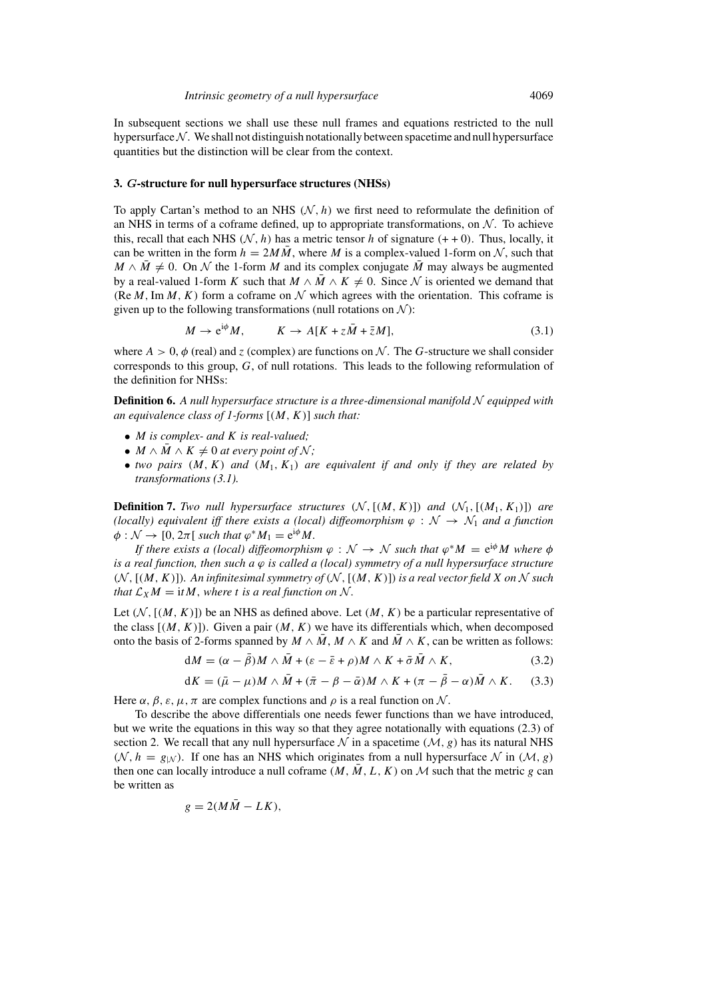In subsequent sections we shall use these null frames and equations restricted to the null hypersurface  $\mathcal N$ . We shall not distinguish notationally between spacetime and null hypersurface quantities but the distinction will be clear from the context.

#### **3.** *G***-structure for null hypersurface structures (NHSs)**

To apply Cartan's method to an NHS  $(N, h)$  we first need to reformulate the definition of an NHS in terms of a coframe defined, up to appropriate transformations, on  $\mathcal N$ . To achieve this, recall that each NHS ( $N$ , h) has a metric tensor h of signature (++0). Thus, locally, it can be written in the form  $h = 2M\overline{M}$ , where M is a complex-valued 1-form on N, such that  $M \wedge \overline{M} \neq 0$ . On N the 1-form M and its complex conjugate  $\overline{M}$  may always be augmented by a real-valued 1-form K such that  $M \wedge \overline{M} \wedge K \neq 0$ . Since N is oriented we demand that (Re M, Im M, K) form a coframe on  $\mathcal N$  which agrees with the orientation. This coframe is given up to the following transformations (null rotations on  $\mathcal{N}$ ):

$$
M \to e^{i\phi} M, \qquad K \to A[K + z\overline{M} + \overline{z}M], \tag{3.1}
$$

where  $A > 0$ ,  $\phi$  (real) and z (complex) are functions on N. The G-structure we shall consider corresponds to this group,  $G$ , of null rotations. This leads to the following reformulation of the definition for NHSs:

**Definition 6.** *A null hypersurface structure is a three-dimensional manifold* N *equipped with an equivalence class of 1-forms* [(M, K)] *such that:*

- M *is complex- and* K *is real-valued;*
- $M \wedge M \wedge K \neq 0$  *at every point of*  $\mathcal{N}$ *;*
- *two pairs*  $(M, K)$  *and*  $(M_1, K_1)$  *are equivalent if and only if they are related by transformations (3.1).*

**Definition 7.** *Two null hypersurface structures*  $(N, [(M, K)])$  *and*  $(N_1, [(M_1, K_1)])$  *are (locally) equivalent iff there exists a (local) diffeomorphism*  $\varphi : \mathcal{N} \to \mathcal{N}_1$  *and a function*  $\phi: \mathcal{N} \to [0, 2\pi[$  *such that*  $\varphi^* M_1 = e^{i\phi} M$ .

*If there exists a (local) diffeomorphism*  $\varphi : \mathcal{N} \to \mathcal{N}$  *such that*  $\varphi^* M = e^{i\varphi} M$  where  $\varphi$ *is a real function, then such a* ϕ *is called a (local) symmetry of a null hypersurface structure*  $(N, [(M, K)])$ *. An infinitesimal symmetry of*  $(N, [(M, K)])$  *is a real vector field* X *on* N *such that*  $\mathcal{L}_X M = \mathrm{i}t M$ , *where t is a real function on* N.

Let  $(N, [(M, K)])$  be an NHS as defined above. Let  $(M, K)$  be a particular representative of the class  $[(M, K)]$ . Given a pair  $(M, K)$  we have its differentials which, when decomposed onto the basis of 2-forms spanned by  $M \wedge \overline{M}$ ,  $M \wedge K$  and  $\overline{M} \wedge K$ , can be written as follows:

$$
dM = (\alpha - \bar{\beta})M \wedge \bar{M} + (\varepsilon - \bar{\varepsilon} + \rho)M \wedge K + \bar{\sigma}\bar{M} \wedge K, \tag{3.2}
$$

$$
dK = (\bar{\mu} - \mu)M \wedge \bar{M} + (\bar{\pi} - \beta - \bar{\alpha})M \wedge K + (\pi - \bar{\beta} - \alpha)\bar{M} \wedge K. \quad (3.3)
$$

Here  $\alpha$ ,  $\beta$ ,  $\varepsilon$ ,  $\mu$ ,  $\pi$  are complex functions and  $\rho$  is a real function on N.

To describe the above differentials one needs fewer functions than we have introduced, but we write the equations in this way so that they agree notationally with equations (2.3) of section 2. We recall that any null hypersurface  $\mathcal N$  in a spacetime  $(\mathcal M, g)$  has its natural NHS  $(N, h = g_N)$ . If one has an NHS which originates from a null hypersurface N in  $(M, g)$ then one can locally introduce a null coframe  $(M, \overline{M}, L, K)$  on M such that the metric g can be written as

$$
g=2(M\bar{M}-LK),
$$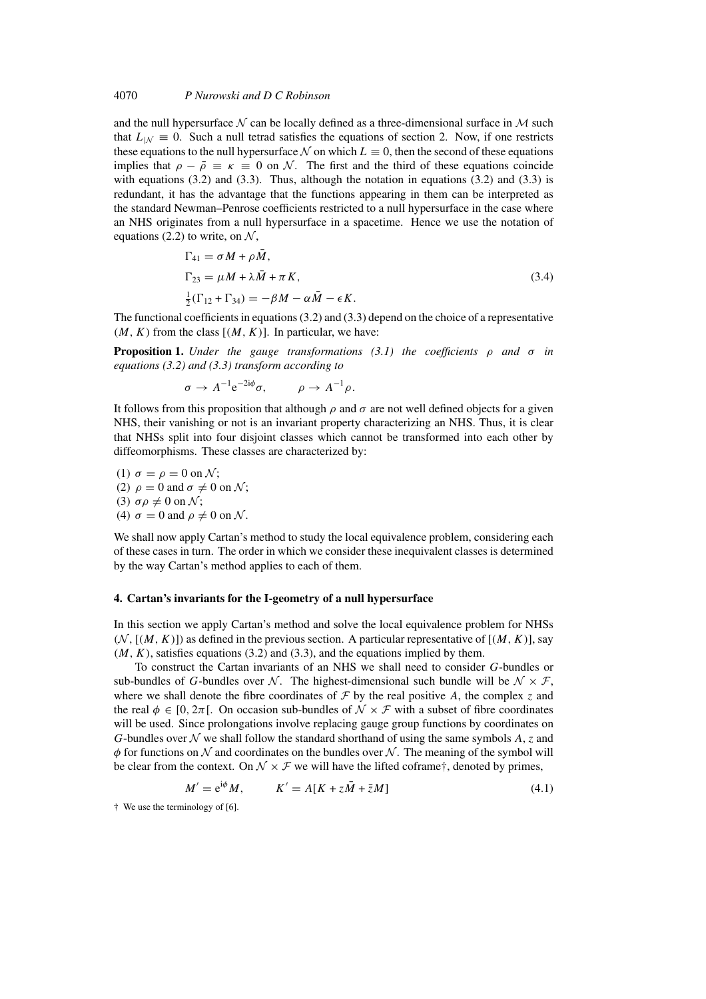and the null hypersurface  $\mathcal N$  can be locally defined as a three-dimensional surface in  $\mathcal M$  such that  $L_{\text{1M}} \equiv 0$ . Such a null tetrad satisfies the equations of section 2. Now, if one restricts these equations to the null hypersurface N on which  $L \equiv 0$ , then the second of these equations implies that  $\rho - \bar{\rho} \equiv \kappa \equiv 0$  on N. The first and the third of these equations coincide with equations  $(3.2)$  and  $(3.3)$ . Thus, although the notation in equations  $(3.2)$  and  $(3.3)$  is redundant, it has the advantage that the functions appearing in them can be interpreted as the standard Newman–Penrose coefficients restricted to a null hypersurface in the case where an NHS originates from a null hypersurface in a spacetime. Hence we use the notation of equations (2.2) to write, on  $\mathcal{N}$ ,

$$
\Gamma_{41} = \sigma M + \rho \bar{M},
$$
  
\n
$$
\Gamma_{23} = \mu M + \lambda \bar{M} + \pi K,
$$
  
\n
$$
\frac{1}{2} (\Gamma_{12} + \Gamma_{34}) = -\beta M - \alpha \bar{M} - \epsilon K.
$$
\n(3.4)

The functional coefficients in equations (3.2) and (3.3) depend on the choice of a representative  $(M, K)$  from the class  $[(M, K)]$ . In particular, we have:

**Proposition 1.** *Under the gauge transformations (3.1) the coefficients* ρ *and* σ *in equations (3.2) and (3.3) transform according to*

$$
\sigma \to A^{-1} e^{-2i\phi} \sigma, \qquad \rho \to A^{-1} \rho.
$$

It follows from this proposition that although  $\rho$  and  $\sigma$  are not well defined objects for a given NHS, their vanishing or not is an invariant property characterizing an NHS. Thus, it is clear that NHSs split into four disjoint classes which cannot be transformed into each other by diffeomorphisms. These classes are characterized by:

(1)  $\sigma = \rho = 0$  on N; (2)  $\rho = 0$  and  $\sigma \neq 0$  on N; (3)  $\sigma \rho \neq 0$  on  $\mathcal{N}$ ; (4)  $\sigma = 0$  and  $\rho \neq 0$  on N.

We shall now apply Cartan's method to study the local equivalence problem, considering each of these cases in turn. The order in which we consider these inequivalent classes is determined by the way Cartan's method applies to each of them.

#### **4. Cartan's invariants for the I-geometry of a null hypersurface**

In this section we apply Cartan's method and solve the local equivalence problem for NHSs  $(N, [(M, K)])$  as defined in the previous section. A particular representative of  $[(M, K)]$ , say  $(M, K)$ , satisfies equations (3.2) and (3.3), and the equations implied by them.

To construct the Cartan invariants of an NHS we shall need to consider G-bundles or sub-bundles of G-bundles over N. The highest-dimensional such bundle will be  $N \times F$ , where we shall denote the fibre coordinates of  $\mathcal F$  by the real positive A, the complex z and the real  $\phi \in [0, 2\pi]$ . On occasion sub-bundles of  $\mathcal{N} \times \mathcal{F}$  with a subset of fibre coordinates will be used. Since prolongations involve replacing gauge group functions by coordinates on G-bundles over  $\mathcal N$  we shall follow the standard shorthand of using the same symbols A, z and  $\phi$  for functions on N and coordinates on the bundles over N. The meaning of the symbol will be clear from the context. On  $\mathcal{N} \times \mathcal{F}$  we will have the lifted coframe†, denoted by primes,

$$
M' = e^{i\phi} M, \qquad K' = A[K + z\overline{M} + \overline{z}M] \tag{4.1}
$$

† We use the terminology of [6].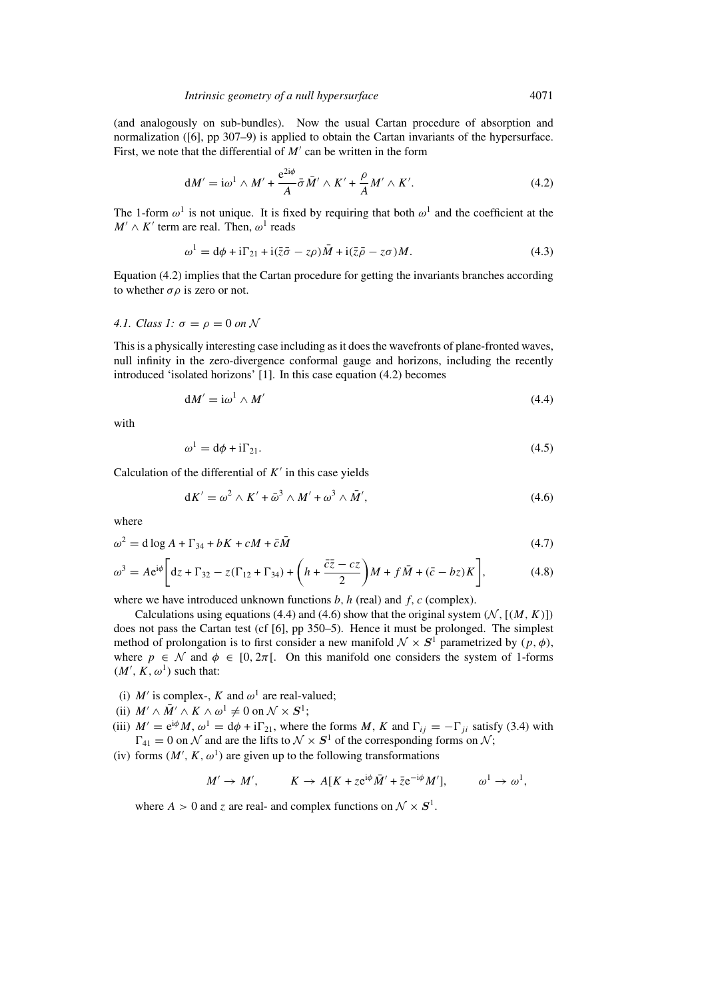(and analogously on sub-bundles). Now the usual Cartan procedure of absorption and normalization ([6], pp 307–9) is applied to obtain the Cartan invariants of the hypersurface. First, we note that the differential of  $M'$  can be written in the form

$$
dM' = i\omega^1 \wedge M' + \frac{e^{2i\phi}}{A} \bar{\sigma} \bar{M}' \wedge K' + \frac{\rho}{A} M' \wedge K'. \tag{4.2}
$$

The 1-form  $\omega^1$  is not unique. It is fixed by requiring that both  $\omega^1$  and the coefficient at the  $M' \wedge K'$  term are real. Then,  $\omega^1$  reads

$$
\omega^1 = d\phi + i\Gamma_{21} + i(\bar{z}\bar{\sigma} - z\rho)\bar{M} + i(\bar{z}\bar{\rho} - z\sigma)M.
$$
\n(4.3)

Equation (4.2) implies that the Cartan procedure for getting the invariants branches according to whether  $\sigma \rho$  is zero or not.

#### *4.1. Class 1:*  $\sigma = \rho = 0$  *on* N

This is a physically interesting case including as it does the wavefronts of plane-fronted waves, null infinity in the zero-divergence conformal gauge and horizons, including the recently introduced 'isolated horizons' [1]. In this case equation (4.2) becomes

$$
dM' = i\omega^1 \wedge M'
$$
\n(4.4)

with

$$
\omega^1 = d\phi + i\Gamma_{21}.\tag{4.5}
$$

Calculation of the differential of  $K'$  in this case yields

$$
dK' = \omega^2 \wedge K' + \bar{\omega}^3 \wedge M' + \omega^3 \wedge \bar{M}', \qquad (4.6)
$$

where

$$
\omega^2 = d \log A + \Gamma_{34} + bK + cM + \bar{c}\bar{M}
$$
\n
$$
(4.7)
$$

$$
\omega^3 = A e^{i\phi} \bigg[ dz + \Gamma_{32} - z(\Gamma_{12} + \Gamma_{34}) + \left( h + \frac{\bar{c}\bar{z} - cz}{2} \right) M + f\bar{M} + (\bar{c} - bz)K \bigg],\tag{4.8}
$$

where we have introduced unknown functions  $b$ ,  $h$  (real) and  $f$ ,  $c$  (complex).

Calculations using equations (4.4) and (4.6) show that the original system  $(N, [(M, K)])$ does not pass the Cartan test (cf [6], pp 350–5). Hence it must be prolonged. The simplest method of prolongation is to first consider a new manifold  $\mathcal{N} \times S^1$  parametrized by  $(p, \phi)$ , where  $p \in \mathcal{N}$  and  $\phi \in [0, 2\pi]$ . On this manifold one considers the system of 1-forms  $(M', K, \omega^1)$  such that:

- (i)  $M'$  is complex-, K and  $\omega^1$  are real-valued;
- (ii)  $M' \wedge \overline{M}' \wedge K \wedge \omega^1 \neq 0$  on  $\mathcal{N} \times S^1$ ;
- (iii)  $M' = e^{i\phi}M$ ,  $\omega^1 = d\phi + i\Gamma_{21}$ , where the forms M, K and  $\Gamma_{ij} = -\Gamma_{ji}$  satisfy (3.4) with  $\Gamma_{41} = 0$  on N and are the lifts to  $\mathcal{N} \times S^1$  of the corresponding forms on N;
- (iv) forms  $(M', K, \omega^1)$  are given up to the following transformations

$$
M' \to M', \qquad K \to A[K + ze^{i\phi} \overline{M}' + \overline{z}e^{-i\phi} M'], \qquad \omega^1 \to \omega^1,
$$

where  $A > 0$  and z are real- and complex functions on  $\mathcal{N} \times S^1$ .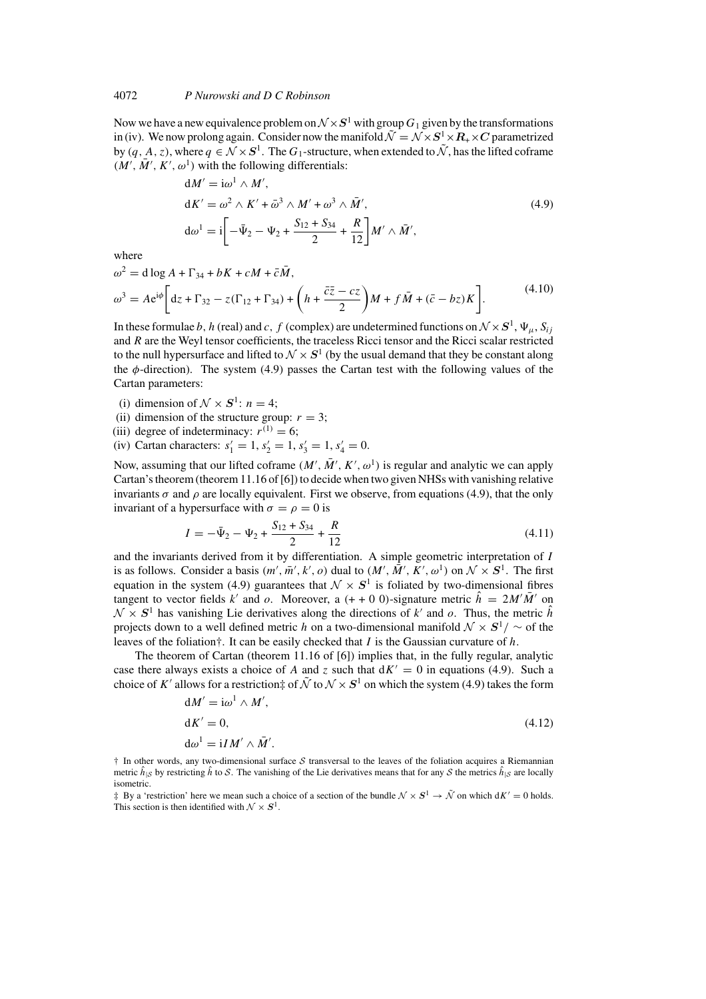Now we have a new equivalence problem on  $\mathcal{N} \times S^1$  with group  $G_1$  given by the transformations in (iv). We now prolong again. Consider now the manifold  $\tilde{\mathcal{N}} = \mathcal{N} \times S^1 \times R_+ \times C$  parametrized by  $(q, A, z)$ , where  $q \in \mathcal{N} \times S^1$ . The  $G_1$ -structure, when extended to  $\tilde{\mathcal{N}}$ , has the lifted coframe  $(M', \overline{M}', K', \omega^1)$  with the following differentials:

$$
dM' = i\omega^{1} \wedge M',
$$
  
\n
$$
dK' = \omega^{2} \wedge K' + \bar{\omega}^{3} \wedge M' + \omega^{3} \wedge \bar{M}',
$$
  
\n
$$
d\omega^{1} = i \left[ -\bar{\Psi}_{2} - \Psi_{2} + \frac{S_{12} + S_{34}}{2} + \frac{R}{12} \right] M' \wedge \bar{M}',
$$
\n(4.9)

where

$$
\omega^2 = d \log A + \Gamma_{34} + bK + cM + \bar{c}\bar{M},
$$
  
\n
$$
\omega^3 = Ae^{i\phi} \left[ dz + \Gamma_{32} - z(\Gamma_{12} + \Gamma_{34}) + \left( h + \frac{\bar{c}\bar{z} - cz}{2} \right) M + f\bar{M} + (\bar{c} - bz)K \right].
$$
\n(4.10)

In these formulae b, h (real) and c, f (complex) are undetermined functions on  $\mathcal{N} \times S^1$ ,  $\Psi_{\mu}$ ,  $S_{ij}$ and R are the Weyl tensor coefficients, the traceless Ricci tensor and the Ricci scalar restricted to the null hypersurface and lifted to  $\mathcal{N} \times S^1$  (by the usual demand that they be constant along the  $\phi$ -direction). The system (4.9) passes the Cartan test with the following values of the Cartan parameters:

- (i) dimension of  $\mathcal{N} \times S^1$ :  $n = 4$ ;
- (ii) dimension of the structure group:  $r = 3$ ;
- (iii) degree of indeterminacy:  $r^{(1)} = 6$ ;
- (iv) Cartan characters:  $s'_1 = 1, s'_2 = 1, s'_3 = 1, s'_4 = 0.$

Now, assuming that our lifted coframe  $(M', \overline{M}', K', \omega^1)$  is regular and analytic we can apply Cartan's theorem (theorem 11.16 of [6]) to decide when two given NHSs with vanishing relative invariants  $\sigma$  and  $\rho$  are locally equivalent. First we observe, from equations (4.9), that the only invariant of a hypersurface with  $\sigma = \rho = 0$  is

$$
I = -\bar{\Psi}_2 - \Psi_2 + \frac{S_{12} + S_{34}}{2} + \frac{R}{12}
$$
 (4.11)

and the invariants derived from it by differentiation. A simple geometric interpretation of I is as follows. Consider a basis  $(m', \overline{m}', k', o)$  dual to  $(M', \overline{M}', K', o^1)$  on  $\mathcal{N} \times S^1$ . The first equation in the system (4.9) guarantees that  $\mathcal{N} \times S^1$  is foliated by two-dimensional fibres tangent to vector fields k' and o. Moreover, a  $(+ 0.0)$ -signature metric  $\hat{h} = 2M'\bar{M}'$  on  $\mathcal{N} \times S^1$  has vanishing Lie derivatives along the directions of k' and o. Thus, the metric  $\hat{h}$ projects down to a well defined metric h on a two-dimensional manifold <sup>N</sup> × *<sup>S</sup>*1/ ∼ of the leaves of the foliation†. It can be easily checked that I is the Gaussian curvature of  $h$ .

The theorem of Cartan (theorem 11.16 of [6]) implies that, in the fully regular, analytic case there always exists a choice of A and z such that  $dK' = 0$  in equations (4.9). Such a choice of K' allows for a restriction‡ of  $\tilde{\mathcal{N}}$  to  $\mathcal{N} \times S^1$  on which the system (4.9) takes the form

$$
dM' = i\omega^1 \wedge M',
$$
  
\n
$$
dK' = 0,
$$
  
\n
$$
d\omega^1 = iI M' \wedge \bar{M}'.
$$
\n(4.12)

 $\dagger$  In other words, any two-dimensional surface S transversal to the leaves of the foliation acquires a Riemannian metric  $\hat{h}_{\vert S}$  by restricting  $\hat{h}$  to S. The vanishing of the Lie derivatives means that for any S the metrics  $\hat{h}_{\vert S}$  are locally isometric.

 $\ddagger$  By a 'restriction' here we mean such a choice of a section of the bundle  $\mathcal{N} \times S^1 \to \tilde{\mathcal{N}}$  on which  $dK' = 0$  holds. This section is then identified with  $\mathcal{N} \times \mathbf{S}^1$ .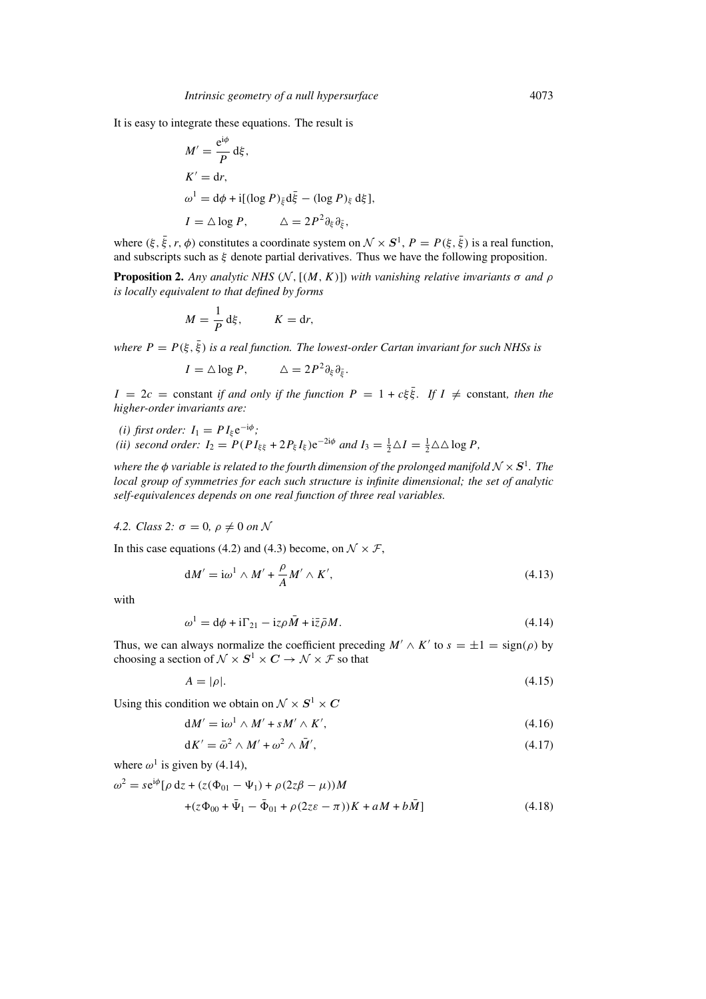It is easy to integrate these equations. The result is

$$
M' = \frac{e^{i\phi}}{P} d\xi,
$$
  
\n
$$
K' = dr,
$$
  
\n
$$
\omega^1 = d\phi + i[(\log P)_{\bar{\xi}} d\bar{\xi} - (\log P)_{\xi} d\xi],
$$
  
\n
$$
I = \triangle \log P, \qquad \triangle = 2P^2 \partial_{\xi} \partial_{\bar{\xi}},
$$

where  $(\xi, \bar{\xi}, r, \phi)$  constitutes a coordinate system on  $\mathcal{N} \times S^1$ ,  $P = P(\xi, \bar{\xi})$  is a real function, and subscripts such as  $\xi$  denote partial derivatives. Thus we have the following proposition.

**Proposition 2.** *Any analytic NHS* ( $N$ , [ $(M, K)$ ]) *with vanishing relative invariants*  $\sigma$  *and*  $\rho$ *is locally equivalent to that defined by forms*

$$
M = \frac{1}{P} d\xi, \qquad K = dr,
$$

*where*  $P = P(\xi, \bar{\xi})$  *is a real function. The lowest-order Cartan invariant for such NHSs is* 

$$
I = \Delta \log P, \qquad \Delta = 2P^2 \partial_{\xi} \partial_{\bar{\xi}}.
$$

 $I = 2c$  = constant *if and only if the function*  $P = 1 + c\xi \overline{\xi}$ . If  $I \neq$  constant, then the *higher-order invariants are:*

*(i) first order:*  $I_1 = P I_{\xi} e^{-i\phi}$ ; *(ii) second order:*  $I_2 = P(PI_{\xi\xi} + 2P_{\xi}I_{\xi})e^{-2i\phi}$  *and*  $I_3 = \frac{1}{2}\Delta I = \frac{1}{2}\Delta\Delta \log P$ ,

*where the*  $\phi$  *variable is related to the fourth dimension of the prolonged manifold*  $N \times S^1$ *. The local group of symmetries for each such structure is infinite dimensional; the set of analytic self-equivalences depends on one real function of three real variables.*

*4.2. Class 2:*  $\sigma = 0$ ,  $\rho \neq 0$  *on* N

In this case equations (4.2) and (4.3) become, on  $\mathcal{N} \times \mathcal{F}$ ,

$$
dM' = i\omega^1 \wedge M' + \frac{\rho}{A}M' \wedge K', \qquad (4.13)
$$

with

$$
\omega^1 = d\phi + i\Gamma_{21} - i z \rho \bar{M} + i \bar{z} \bar{\rho} M. \tag{4.14}
$$

Thus, we can always normalize the coefficient preceding  $M' \wedge K'$  to  $s = \pm 1 = \text{sign}(\rho)$  by choosing a section of  $\mathcal{N} \times S^1 \times C \to \mathcal{N} \times \mathcal{F}$  so that

$$
A = |\rho|.\tag{4.15}
$$

Using this condition we obtain on  $\mathcal{N} \times S^1 \times C$ 

$$
dM' = i\omega^1 \wedge M' + sM' \wedge K', \qquad (4.16)
$$

$$
dK' = \bar{\omega}^2 \wedge M' + \omega^2 \wedge \bar{M}',\tag{4.17}
$$

where  $\omega^1$  is given by (4.14),

$$
\omega^2 = s e^{i\phi} [\rho dz + (z(\Phi_{01} - \Psi_1) + \rho (2z\beta - \mu))M + (z\Phi_{00} + \bar{\Psi}_1 - \bar{\Phi}_{01} + \rho (2z\epsilon - \pi))K + aM + b\bar{M}]
$$
(4.18)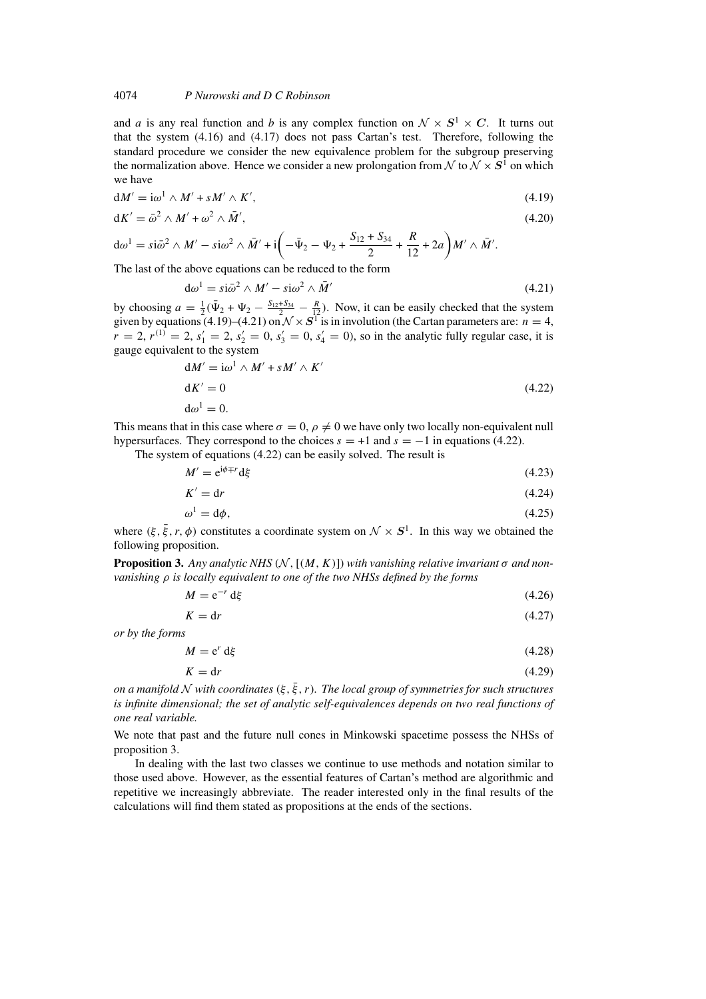and *a* is any real function and *b* is any complex function on  $\mathcal{N} \times S^1 \times C$ . It turns out that the system (4.16) and (4.17) does not pass Cartan's test. Therefore, following the standard procedure we consider the new equivalence problem for the subgroup preserving the normalization above. Hence we consider a new prolongation from  $\mathcal N$  to  $\mathcal N \times S^1$  on which we have

$$
dM' = i\omega^1 \wedge M' + sM' \wedge K', \qquad (4.19)
$$

$$
dK' = \bar{\omega}^2 \wedge M' + \omega^2 \wedge \bar{M}',\tag{4.20}
$$

 $d\omega^1 = s i \bar{\omega}^2 \wedge M' - s i \omega^2 \wedge \bar{M}' + i \left(-\bar{\Psi}_2 - \Psi_2 + \frac{S_{12} + S_{34}}{2}\right)$  $\frac{+S_{34}}{2} + \frac{R}{12}$  $\frac{R}{12} + 2a$   $M' \wedge \bar{M}'$ .

The last of the above equations can be reduced to the form

$$
d\omega^1 = s i \bar{\omega}^2 \wedge M' - s i \omega^2 \wedge \bar{M}' \tag{4.21}
$$

by choosing  $a = \frac{1}{2}(\bar{\Psi}_2 + \Psi_2 - \frac{S_{12} + S_{34}}{2} - \frac{R}{12})$ . Now, it can be easily checked that the system given by equations (4.19)–(4.21) on  $\mathcal{N} \times S^1$  is in involution (the Cartan parameters are:  $n = 4$ ,  $r = 2$ ,  $r^{(1)} = 2$ ,  $s'_1 = 2$ ,  $s'_2 = 0$ ,  $s'_3 = 0$ ,  $s'_4 = 0$ ), so in the analytic fully regular case, it is gauge equivalent to the system

$$
dM' = i\omega^1 \wedge M' + sM' \wedge K'
$$
  
\n
$$
dK' = 0
$$
  
\n
$$
d\omega^1 = 0.
$$
\n(4.22)

This means that in this case where  $\sigma = 0$ ,  $\rho \neq 0$  we have only two locally non-equivalent null hypersurfaces. They correspond to the choices  $s = +1$  and  $s = -1$  in equations (4.22).

The system of equations (4.22) can be easily solved. The result is

$$
M' = e^{i\phi + r} d\xi \tag{4.23}
$$

$$
K' = dr \tag{4.24}
$$

$$
\omega^1 = d\phi,\tag{4.25}
$$

where  $(\xi, \bar{\xi}, r, \phi)$  constitutes a coordinate system on  $\mathcal{N} \times S^1$ . In this way we obtained the following proposition.

**Proposition 3.** *Any analytic NHS*  $(N, [(M, K)])$  *with vanishing relative invariant*  $\sigma$  *and nonvanishing* ρ *is locally equivalent to one of the two NHSs defined by the forms*

$$
M = e^{-r} d\xi \tag{4.26}
$$

$$
K = dr \tag{4.27}
$$

*or by the forms*

$$
M = e^r d\xi \tag{4.28}
$$

$$
K = dr \tag{4.29}
$$

*on a manifold* N with coordinates  $(\xi, \overline{\xi}, r)$ . The local group of symmetries for such structures *is infinite dimensional; the set of analytic self-equivalences depends on two real functions of one real variable.*

We note that past and the future null cones in Minkowski spacetime possess the NHSs of proposition 3.

In dealing with the last two classes we continue to use methods and notation similar to those used above. However, as the essential features of Cartan's method are algorithmic and repetitive we increasingly abbreviate. The reader interested only in the final results of the calculations will find them stated as propositions at the ends of the sections.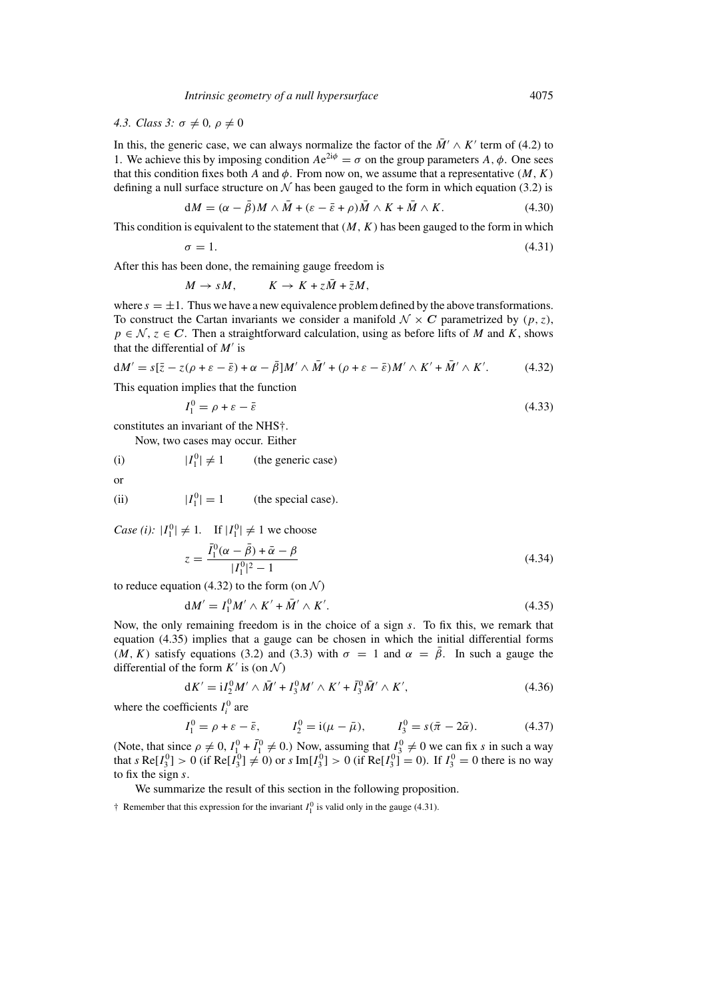# *4.3. Class 3:*  $\sigma \neq 0$ ,  $\rho \neq 0$

In this, the generic case, we can always normalize the factor of the  $\overline{M}$   $\wedge$  K' term of (4.2) to 1. We achieve this by imposing condition  $Ae^{2i\phi} = \sigma$  on the group parameters A,  $\phi$ . One sees that this condition fixes both A and  $\phi$ . From now on, we assume that a representative  $(M, K)$ defining a null surface structure on  $N$  has been gauged to the form in which equation (3.2) is

$$
dM = (\alpha - \bar{\beta})M \wedge \bar{M} + (\varepsilon - \bar{\varepsilon} + \rho)\bar{M} \wedge K + \bar{M} \wedge K. \tag{4.30}
$$

This condition is equivalent to the statement that  $(M, K)$  has been gauged to the form in which

 $\sigma = 1.$  (4.31)

After this has been done, the remaining gauge freedom is

$$
M \to sM, \qquad K \to K + z\overline{M} + \overline{z}M,
$$

where  $s = \pm 1$ . Thus we have a new equivalence problem defined by the above transformations. To construct the Cartan invariants we consider a manifold  $\mathcal{N} \times C$  parametrized by  $(p, z)$ ,  $p \in \mathcal{N}, z \in \mathbb{C}$ . Then a straightforward calculation, using as before lifts of M and K, shows that the differential of  $M'$  is

$$
dM' = s[\bar{z} - z(\rho + \varepsilon - \bar{\varepsilon}) + \alpha - \bar{\beta}]M' \wedge \bar{M}' + (\rho + \varepsilon - \bar{\varepsilon})M' \wedge K' + \bar{M}' \wedge K'. \tag{4.32}
$$

This equation implies that the function

$$
I_1^0 = \rho + \varepsilon - \bar{\varepsilon} \tag{4.33}
$$

constitutes an invariant of the NHS†.

Now, two cases may occur. Either

(i)  $|I_1^0| \neq 1$  (the generic case)

$$
\theta
$$

(ii)  $|I_1^0| = 1$  (the special case).

*Case (i):*  $|I_1^0| \neq 1$ . If  $|I_1^0| \neq 1$  we choose

$$
z = \frac{\bar{I}_1^0(\alpha - \bar{\beta}) + \bar{\alpha} - \beta}{|I_1^0|^2 - 1}
$$
\n(4.34)

to reduce equation (4.32) to the form (on  $\mathcal{N}$ )

$$
dM' = I_1^0 M' \wedge K' + \overline{M}' \wedge K'. \tag{4.35}
$$

Now, the only remaining freedom is in the choice of a sign s. To fix this, we remark that equation (4.35) implies that a gauge can be chosen in which the initial differential forms  $(M, K)$  satisfy equations (3.2) and (3.3) with  $\sigma = 1$  and  $\alpha = \overline{\beta}$ . In such a gauge the differential of the form  $K'$  is (on  $\mathcal{N}$ )

$$
dK' = iI_2^0 M' \wedge \bar{M}' + I_3^0 M' \wedge K' + \bar{I}_3^0 \bar{M}' \wedge K', \qquad (4.36)
$$

where the coefficients  $I_i^0$  are

$$
I_1^0 = \rho + \varepsilon - \bar{\varepsilon}, \qquad I_2^0 = \mathrm{i}(\mu - \bar{\mu}), \qquad I_3^0 = s(\bar{\pi} - 2\bar{\alpha}). \tag{4.37}
$$

(Note, that since  $\rho \neq 0$ ,  $I_{1}^{0} + \overline{I}_{1}^{0} \neq 0$ .) Now, assuming that  $I_{3}^{0} \neq 0$  we can fix s in such a way that s Re[ $I_3^0$ ] > 0 (if Re[ $I_3^0$ ]  $\neq$  0) or s Im[ $I_3^0$ ] > 0 (if Re[ $I_3^0$ ] = 0). If  $I_3^0$  = 0 there is no way to fix the sign s.

We summarize the result of this section in the following proposition.

 $\dagger$  Remember that this expression for the invariant  $I_1^0$  is valid only in the gauge (4.31).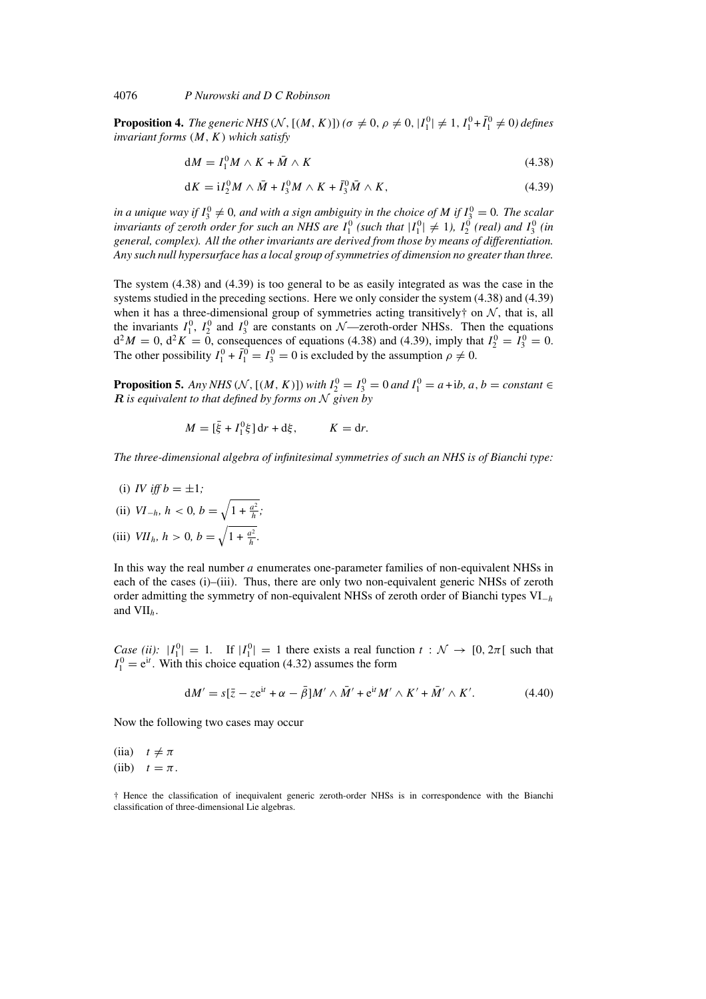**Proposition 4.** *The generic NHS* ( $N$ , [( $M$ ,  $K$ )]) ( $\sigma \neq 0$ ,  $\rho \neq 0$ ,  $|I_1^0| \neq 1$ ,  $I_1^0 + \overline{I_1^0} \neq 0$ ) defines *invariant forms* (M, K) *which satisfy*

$$
dM = I_1^0 M \wedge K + \bar{M} \wedge K \tag{4.38}
$$

$$
dK = iI_2^0 M \wedge \bar{M} + I_3^0 M \wedge K + \bar{I}_3^0 \bar{M} \wedge K, \qquad (4.39)
$$

in a unique way if  $I_3^0 \neq 0$ , and with a sign ambiguity in the choice of M if  $I_3^0 = 0$ . The scalar *invariants of zeroth order for such an NHS are*  $I_1^0$  (such that  $|I_1^0| \neq 1$ ),  $I_2^0$  (real) and  $I_3^0$  (in *general, complex). All the other invariants are derived from those by means of differentiation. Any such null hypersurface has a local group of symmetries of dimension no greater than three.*

The system (4.38) and (4.39) is too general to be as easily integrated as was the case in the systems studied in the preceding sections. Here we only consider the system (4.38) and (4.39) when it has a three-dimensional group of symmetries acting transitively† on  $N$ , that is, all the invariants  $I_1^0$ ,  $I_2^0$  and  $I_3^0$  are constants on  $\mathcal{N}$ —zeroth-order NHSs. Then the equations  $d^2M = 0$ ,  $d^2K = 0$ , consequences of equations (4.38) and (4.39), imply that  $I_2^0 = I_3^0 = 0$ . The other possibility  $I_1^0 + \overline{I_1^0} = I_3^0 = 0$  is excluded by the assumption  $\rho \neq 0$ .

**Proposition 5.** *Any NHS* ( $N$ , [( $M$ ,  $K$ )]) *with*  $I_2^0 = I_3^0 = 0$  *and*  $I_1^0 = a + ib$ ,  $a, b = constant \in$ *R is equivalent to that defined by forms on* N *given by*

$$
M = [\bar{\xi} + I_1^0 \xi] dr + d\xi, \qquad K = dr.
$$

*The three-dimensional algebra of infinitesimal symmetries of such an NHS is of Bianchi type:*

(i) *IV* iff  $b = \pm 1$ ;

(ii) 
$$
VI_{-h}
$$
,  $h < 0$ ,  $b = \sqrt{1 + \frac{a^2}{h}}$ ;  
(iii)  $VII_h$ ,  $h > 0$ ,  $b = \sqrt{1 + \frac{a^2}{h}}$ .

In this way the real number a enumerates one-parameter families of non-equivalent NHSs in each of the cases (i)–(iii). Thus, there are only two non-equivalent generic NHSs of zeroth order admitting the symmetry of non-equivalent NHSs of zeroth order of Bianchi types  $VI_{-h}$ and  $VII<sub>h</sub>$ .

*Case (ii):*  $|I_1^0| = 1$ . If  $|I_1^0| = 1$  there exists a real function  $t : \mathcal{N} \to [0, 2\pi]$  such that  $I_1^0 = e^{it}$ . With this choice equation (4.32) assumes the form

$$
dM' = s[\bar{z} - ze^{it} + \alpha - \bar{\beta}]M' \wedge \bar{M}' + e^{it}M' \wedge K' + \bar{M}' \wedge K'. \tag{4.40}
$$

Now the following two cases may occur

(iia)  $t \neq \pi$ (iib)  $t = \pi$ .

† Hence the classification of inequivalent generic zeroth-order NHSs is in correspondence with the Bianchi classification of three-dimensional Lie algebras.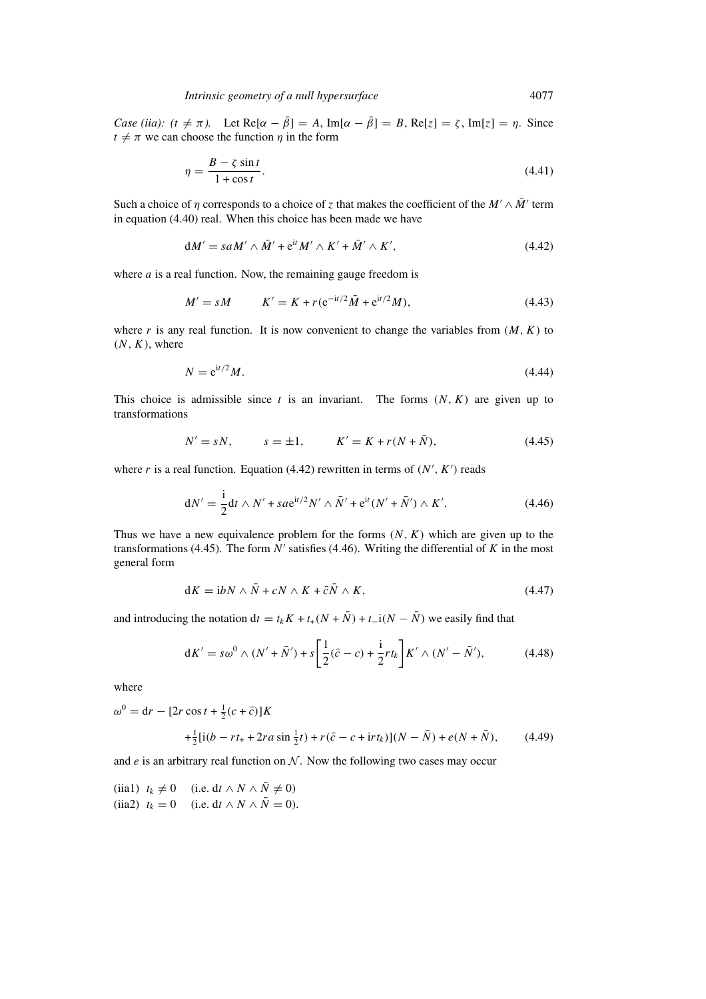*Case (iia): (t*  $\neq \pi$ ). Let Re[ $\alpha - \bar{\beta}$ ] = A, Im[ $\alpha - \bar{\beta}$ ] = B, Re[ $z$ ] =  $\zeta$ , Im[ $z$ ] =  $\eta$ . Since  $t \neq \pi$  we can choose the function *n* in the form

$$
\eta = \frac{B - \zeta \sin t}{1 + \cos t}.\tag{4.41}
$$

Such a choice of  $\eta$  corresponds to a choice of z that makes the coefficient of the  $M' \wedge \overline{M}'$  term in equation (4.40) real. When this choice has been made we have

$$
dM' = saM' \wedge \bar{M}' + e^{it}M' \wedge K' + \bar{M}' \wedge K', \qquad (4.42)
$$

where  $a$  is a real function. Now, the remaining gauge freedom is

$$
M' = sM \qquad K' = K + r(e^{-it/2}\bar{M} + e^{it/2}M), \tag{4.43}
$$

where r is any real function. It is now convenient to change the variables from  $(M, K)$  to  $(N, K)$ , where

$$
N = e^{it/2}M.\tag{4.44}
$$

This choice is admissible since t is an invariant. The forms  $(N, K)$  are given up to transformations

$$
N' = sN, \t s = \pm 1, \t K' = K + r(N + \bar{N}), \t (4.45)
$$

where r is a real function. Equation (4.42) rewritten in terms of  $(N', K')$  reads

$$
dN' = \frac{i}{2}dt \wedge N' + sa e^{it/2} N' \wedge \bar{N}' + e^{it} (N' + \bar{N}') \wedge K'. \tag{4.46}
$$

Thus we have a new equivalence problem for the forms  $(N, K)$  which are given up to the transformations (4.45). The form  $N'$  satisfies (4.46). Writing the differential of K in the most general form

$$
dK = i bN \wedge \bar{N} + cN \wedge K + \bar{c}\bar{N} \wedge K, \qquad (4.47)
$$

and introducing the notation dt = t<sub>k</sub>K + t<sub>+</sub>(N +  $\bar{N}$ ) + t\_i(N –  $\bar{N}$ ) we easily find that

$$
dK' = s\omega^0 \wedge (N' + \bar{N}') + s\left[\frac{1}{2}(\bar{c} - c) + \frac{i}{2}rt_k\right]K' \wedge (N' - \bar{N}'),\tag{4.48}
$$

where

$$
\omega^{0} = dr - [2r \cos t + \frac{1}{2}(c + \bar{c})]K
$$
  
 
$$
+ \frac{1}{2}[i(b - rt_{+} + 2ra \sin \frac{1}{2}t) + r(\bar{c} - c + \mathrm{i}rt_{k})](N - \bar{N}) + e(N + \bar{N}), \qquad (4.49)
$$

and  $e$  is an arbitrary real function on  $N$ . Now the following two cases may occur

<sup>(</sup>iia1)  $t_k \neq 0$  (i.e. dt ∧ N ∧  $\overline{N} \neq 0$ ) (iia2)  $t_k = 0$  (i.e. dt  $\wedge N \wedge \overline{N} = 0$ ).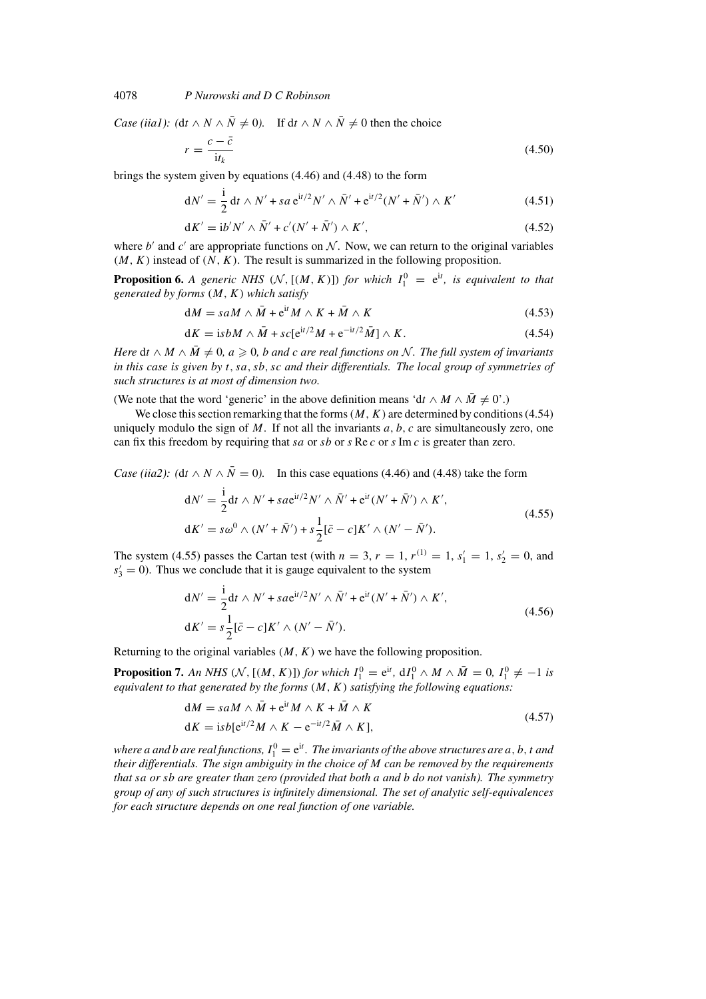*Case (iia1):* ( $dt \wedge N \wedge \overline{N} \neq 0$ ). If  $dt \wedge N \wedge \overline{N} \neq 0$  then the choice

$$
r = \frac{c - \bar{c}}{\mathrm{i}t_k} \tag{4.50}
$$

brings the system given by equations (4.46) and (4.48) to the form

$$
dN' = \frac{i}{2} dt \wedge N' + sa e^{it/2} N' \wedge \bar{N}' + e^{it/2} (N' + \bar{N}') \wedge K'
$$
 (4.51)

$$
dK' = i b' N' \wedge \bar{N}' + c'(N' + \bar{N}') \wedge K',
$$
\n(4.52)

where b' and c' are appropriate functions on N. Now, we can return to the original variables  $(M, K)$  instead of  $(N, K)$ . The result is summarized in the following proposition.

**Proposition 6.** *A generic NHS*  $(N, [(M, K)])$  *for which*  $I_1^0 = e^{it}$ *, is equivalent to that generated by forms* (M, K) *which satisfy*

$$
dM = saM \wedge \bar{M} + e^{it}M \wedge K + \bar{M} \wedge K \qquad (4.53)
$$

$$
dK = isbM \wedge \bar{M} + sc[e^{it/2}M + e^{-it/2}\bar{M}] \wedge K. \tag{4.54}
$$

*Here* dt  $\wedge$  *M*  $\wedge$   $\overline{M} \neq 0$ ,  $a \ge 0$ , b and c are real functions on N. The full system of invariants *in this case is given by* t, sa, sb, sc *and their differentials. The local group of symmetries of such structures is at most of dimension two.*

(We note that the word 'generic' in the above definition means 'dt ∧  $M \wedge \overline{M} \neq 0$ '.)

We close this section remarking that the forms  $(M, K)$  are determined by conditions (4.54) uniquely modulo the sign of  $M$ . If not all the invariants  $a, b, c$  are simultaneously zero, one can fix this freedom by requiring that sa or sb or s Re c or s Im c is greater than zero.

*Case (iia2):* ( $dt \wedge N \wedge \overline{N} = 0$ ). In this case equations (4.46) and (4.48) take the form

$$
dN' = \frac{i}{2}dt \wedge N' + sa e^{it/2} N' \wedge \bar{N}' + e^{it} (N' + \bar{N}') \wedge K',
$$
  
\n
$$
dK' = s\omega^0 \wedge (N' + \bar{N}') + s\frac{1}{2} [\bar{c} - c] K' \wedge (N' - \bar{N}').
$$
\n(4.55)

The system (4.55) passes the Cartan test (with  $n = 3$ ,  $r = 1$ ,  $r^{(1)} = 1$ ,  $s'_1 = 1$ ,  $s'_2 = 0$ , and  $s'_3 = 0$ ). Thus we conclude that it is gauge equivalent to the system

$$
dN' = \frac{i}{2}dt \wedge N' + sa e^{it/2} N' \wedge \bar{N}' + e^{it} (N' + \bar{N}') \wedge K',
$$
  
\n
$$
dK' = s\frac{1}{2}[\bar{c} - c]K' \wedge (N' - \bar{N}').
$$
\n(4.56)

Returning to the original variables  $(M, K)$  we have the following proposition.

**Proposition 7.** An NHS ( $N$ , [(M, K)]) for which  $I_1^0 = e^{it}$ ,  $dI_1^0 \wedge M \wedge \overline{M} = 0$ ,  $I_1^0 \neq -1$  is *equivalent to that generated by the forms* (M, K) *satisfying the following equations:*

$$
dM = saM \wedge \bar{M} + e^{it}M \wedge K + \bar{M} \wedge K
$$
  
\n
$$
dK = isb[e^{it/2}M \wedge K - e^{-it/2}\bar{M} \wedge K],
$$
\n(4.57)

where a and b are real functions,  $I_1^0 = e^{it}$ . The invariants of the above structures are  $a, b, t$  and *their differentials. The sign ambiguity in the choice of* M *can be removed by the requirements that* sa *or* sb *are greater than zero (provided that both* a *and* b *do not vanish). The symmetry group of any of such structures is infinitely dimensional. The set of analytic self-equivalences for each structure depends on one real function of one variable.*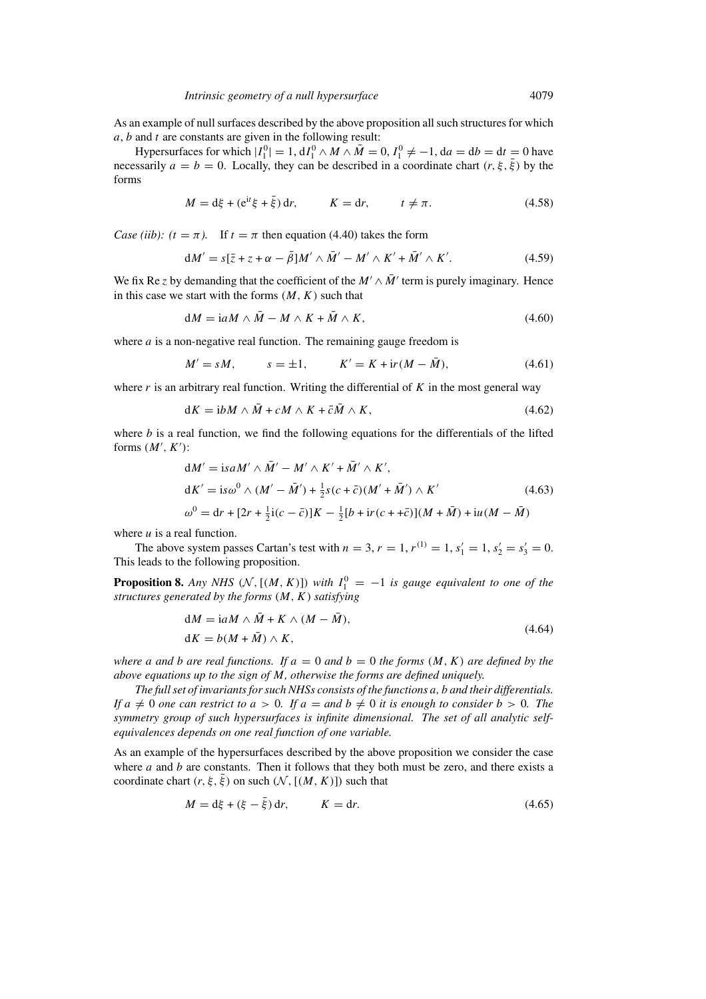As an example of null surfaces described by the above proposition all such structures for which  $a, b$  and t are constants are given in the following result:

Hypersurfaces for which  $|I_1^0| = 1$ ,  $dI_1^0 \wedge M \wedge \overline{M} = 0$ ,  $I_1^0 \neq -1$ ,  $da = db = dt = 0$  have necessarily  $a = b = 0$ . Locally, they can be described in a coordinate chart  $(r, \xi, \overline{\xi})$  by the forms

$$
M = d\xi + (e^{it}\xi + \bar{\xi}) dr, \qquad K = dr, \qquad t \neq \pi.
$$
 (4.58)

*Case (iib): (t =*  $\pi$ *).* If  $t = \pi$  then equation (4.40) takes the form

$$
dM' = s[\bar{z} + z + \alpha - \bar{\beta}]M' \wedge \bar{M}' - M' \wedge K' + \bar{M}' \wedge K'. \tag{4.59}
$$

We fix Re z by demanding that the coefficient of the  $M' \wedge \overline{M}'$  term is purely imaginary. Hence in this case we start with the forms  $(M, K)$  such that

$$
dM = iaM \wedge \bar{M} - M \wedge K + \bar{M} \wedge K, \qquad (4.60)
$$

where  $a$  is a non-negative real function. The remaining gauge freedom is

$$
M' = sM, \t s = \pm 1, \t K' = K + ir(M - \bar{M}), \t (4.61)
$$

where r is an arbitrary real function. Writing the differential of  $K$  in the most general way

$$
dK = i bM \wedge \bar{M} + cM \wedge K + \bar{c}\bar{M} \wedge K, \qquad (4.62)
$$

where  $b$  is a real function, we find the following equations for the differentials of the lifted forms  $(M', K')$ :

$$
dM' = is aM' \wedge \bar{M}' - M' \wedge K' + \bar{M}' \wedge K',
$$
  
\n
$$
dK' = is \omega^{0} \wedge (M' - \bar{M}') + \frac{1}{2}s(c + \bar{c})(M' + \bar{M}') \wedge K'
$$
\n
$$
\omega^{0} = dr + [2r + \frac{1}{2}i(c - \bar{c})]K - \frac{1}{2}[b + ir(c + \bar{c})](M + \bar{M}) + iu(M - \bar{M})
$$
\n(4.63)

where  $u$  is a real function.

The above system passes Cartan's test with  $n = 3$ ,  $r = 1$ ,  $r^{(1)} = 1$ ,  $s'_1 = 1$ ,  $s'_2 = s'_3 = 0$ . This leads to the following proposition.

**Proposition 8.** *Any NHS*  $(N, [(M, K)])$  *with*  $I_1^0 = -1$  *is gauge equivalent to one of the structures generated by the forms* (M, K) *satisfying*

$$
dM = i a M \wedge \bar{M} + K \wedge (M - \bar{M}),
$$
  
\n
$$
dK = b(M + \bar{M}) \wedge K,
$$
\n(4.64)

*where* a and *b* are real functions. If  $a = 0$  and  $b = 0$  the forms  $(M, K)$  are defined by the *above equations up to the sign of* M*, otherwise the forms are defined uniquely.*

*The full set of invariants for such NHSs consists of the functions* a*,* b *and their differentials. If*  $a \neq 0$  *one can restrict to*  $a > 0$ *. If*  $a =$  *and*  $b \neq 0$  *it is enough to consider*  $b > 0$ *. The symmetry group of such hypersurfaces is infinite dimensional. The set of all analytic selfequivalences depends on one real function of one variable.*

As an example of the hypersurfaces described by the above proposition we consider the case where a and b are constants. Then it follows that they both must be zero, and there exists a coordinate chart  $(r, \xi, \bar{\xi})$  on such  $(\mathcal{N}, [(M, K)])$  such that

$$
M = d\xi + (\xi - \bar{\xi}) dr, \qquad K = dr. \tag{4.65}
$$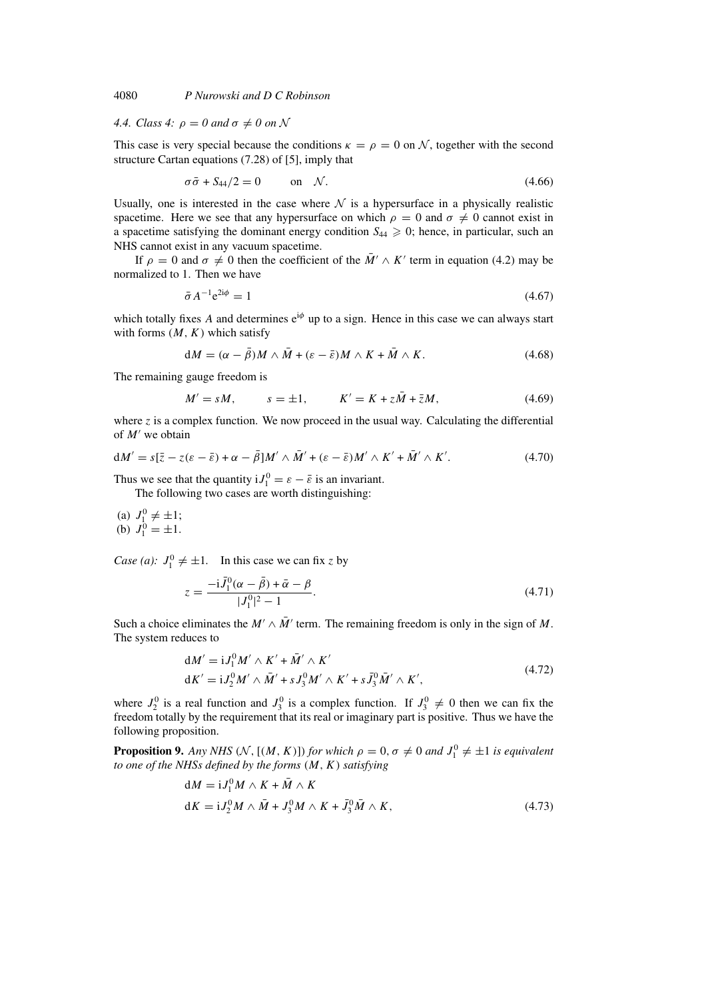# *4.4. Class 4:*  $\rho = 0$  and  $\sigma \neq 0$  on N

This case is very special because the conditions  $\kappa = \rho = 0$  on N, together with the second structure Cartan equations (7.28) of [5], imply that

$$
\sigma \bar{\sigma} + S_{44}/2 = 0 \qquad \text{on} \quad \mathcal{N}.
$$

Usually, one is interested in the case where  $\mathcal N$  is a hypersurface in a physically realistic spacetime. Here we see that any hypersurface on which  $\rho = 0$  and  $\sigma \neq 0$  cannot exist in a spacetime satisfying the dominant energy condition  $S_{44} \geq 0$ ; hence, in particular, such an NHS cannot exist in any vacuum spacetime.

If  $\rho = 0$  and  $\sigma \neq 0$  then the coefficient of the  $\overline{M}$   $\wedge$  K' term in equation (4.2) may be normalized to 1. Then we have

$$
\bar{\sigma} A^{-1} e^{2i\phi} = 1 \tag{4.67}
$$

which totally fixes A and determines  $e^{i\phi}$  up to a sign. Hence in this case we can always start with forms  $(M, K)$  which satisfy

$$
dM = (\alpha - \bar{\beta})M \wedge \bar{M} + (\varepsilon - \bar{\varepsilon})M \wedge K + \bar{M} \wedge K. \tag{4.68}
$$

The remaining gauge freedom is

$$
M' = sM, \t s = \pm 1, \t K' = K + z\bar{M} + \bar{z}M, \t (4.69)
$$

where z is a complex function. We now proceed in the usual way. Calculating the differential of  $M'$  we obtain

$$
dM' = s[\bar{z} - z(\varepsilon - \bar{\varepsilon}) + \alpha - \bar{\beta}]M' \wedge \bar{M}' + (\varepsilon - \bar{\varepsilon})M' \wedge K' + \bar{M}' \wedge K'. \tag{4.70}
$$

Thus we see that the quantity  $iJ_1^0 = \varepsilon - \bar{\varepsilon}$  is an invariant.

The following two cases are worth distinguishing:

(a) 
$$
J_1^0 \neq \pm 1
$$
;  
(b)  $J_1^0 = \pm 1$ .

*Case (a):*  $J_1^0 \neq \pm 1$ . In this case we can fix z by

$$
z = \frac{-i\bar{J}_1^0(\alpha - \bar{\beta}) + \bar{\alpha} - \beta}{|J_1^0|^2 - 1}.
$$
\n(4.71)

Such a choice eliminates the  $M' \wedge \overline{M}'$  term. The remaining freedom is only in the sign of M. The system reduces to

$$
dM' = iJ_1^0 M' \wedge K' + \bar{M}' \wedge K'
$$
  
\n
$$
dK' = iJ_2^0 M' \wedge \bar{M}' + sJ_3^0 M' \wedge K' + s\bar{J}_3^0 \bar{M}' \wedge K',
$$
\n(4.72)

where  $J_2^0$  is a real function and  $J_3^0$  is a complex function. If  $J_3^0 \neq 0$  then we can fix the freedom totally by the requirement that its real or imaginary part is positive. Thus we have the following proposition.

**Proposition 9.** Any NHS (N, [(M, K)]) for which  $\rho = 0$ ,  $\sigma \neq 0$  and  $J_1^0 \neq \pm 1$  is equivalent *to one of the NHSs defined by the forms* (M, K) *satisfying*

$$
dM = iJ_1^0 M \wedge K + \bar{M} \wedge K
$$
  
\n
$$
dK = iJ_2^0 M \wedge \bar{M} + J_3^0 M \wedge K + \bar{J}_3^0 \bar{M} \wedge K,
$$
\n(4.73)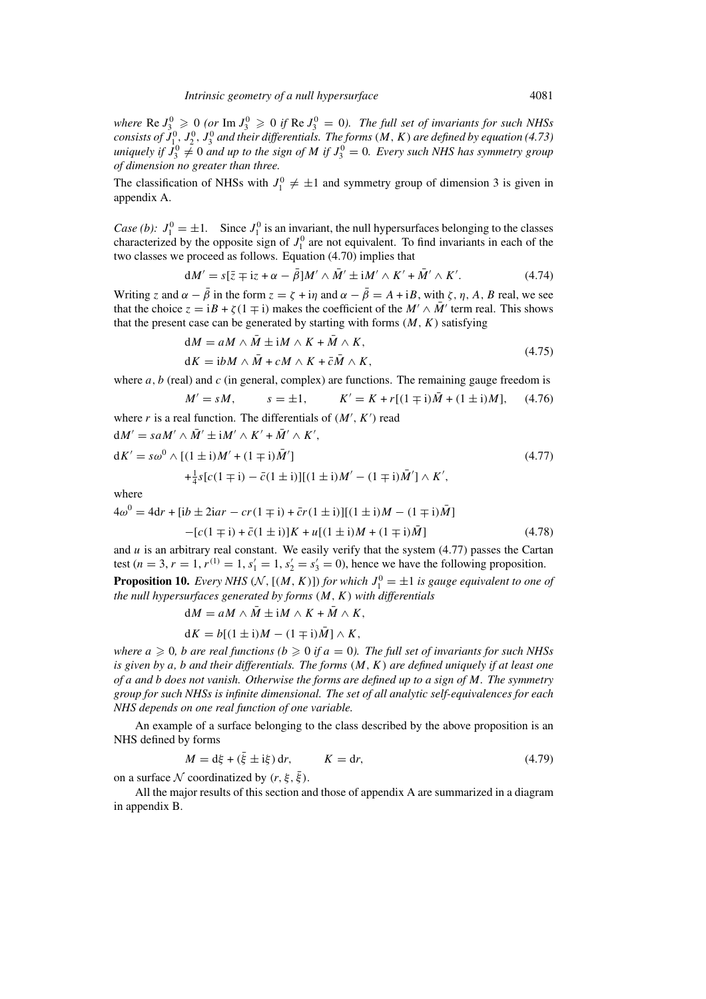where  $\text{Re } J_3^0 \geqslant 0$  (or  $\text{Im } J_3^0 \geqslant 0$  if  $\text{Re } J_3^0 = 0$ ). The full set of invariants for such NHSs consists of  $J_{1}^{0}$ ,  $J_{2}^{0}$ ,  $J_{3}^{0}$  and their differentials. The forms (M, K) are defined by equation (4.73) uniquely if  $J_3^0 \neq 0$  and up to the sign of M if  $J_3^0 = 0$ . Every such NHS has symmetry group *of dimension no greater than three.*

The classification of NHSs with  $J_1^0 \neq \pm 1$  and symmetry group of dimension 3 is given in appendix A.

*Case (b):*  $J_1^0 = \pm 1$ . Since  $J_1^0$  is an invariant, the null hypersurfaces belonging to the classes characterized by the opposite sign of  $J_1^0$  are not equivalent. To find invariants in each of the two classes we proceed as follows. Equation (4.70) implies that

$$
dM' = s[\bar{z} \mp iz + \alpha - \bar{\beta}]M' \wedge \bar{M}' \pm iM' \wedge K' + \bar{M}' \wedge K'. \tag{4.74}
$$

Writing z and  $\alpha - \bar{\beta}$  in the form  $z = \zeta + i\eta$  and  $\alpha - \bar{\beta} = A + iB$ , with  $\zeta$ ,  $\eta$ , A, B real, we see that the choice  $z = iB + \zeta(1 \mp i)$  makes the coefficient of the  $M' \wedge \overline{M}'$  term real. This shows that the present case can be generated by starting with forms  $(M, K)$  satisfying

$$
dM = aM \wedge \bar{M} \pm iM \wedge K + \bar{M} \wedge K,
$$
  
\n
$$
dK = i\bar{b}M \wedge \bar{M} + cM \wedge K + \bar{c}\bar{M} \wedge K,
$$
\n(4.75)

where a, b (real) and c (in general, complex) are functions. The remaining gauge freedom is

$$
M' = sM
$$
,  $s = \pm 1$ ,  $K' = K + r[(1 \mp i)\bar{M} + (1 \pm i)M]$ , (4.76)

where r is a real function. The differentials of  $(M', K')$  read  $dd = \bar{r}d + \bar{r}d \times \bar{r}d$ 

$$
dM' = saM' \wedge M' \pm iM' \wedge K' + M' \wedge K',
$$
  
\n
$$
dK' = so^0 \wedge [(1 \pm i)M' + (1 \mp i)\bar{M}'] \qquad (4.77)
$$
  
\n
$$
+ \frac{1}{4}s[c(1 \mp i) - \bar{c}(1 \pm i)][(1 \pm i)M' - (1 \mp i)\bar{M}'] \wedge K',
$$

where

$$
4\omega^{0} = 4dr + [ib \pm 2iar - cr(1 \mp i) + \bar{c}r(1 \pm i)][(1 \pm i)M - (1 \mp i)\bar{M}]
$$

$$
-[c(1\mp i) + \bar{c}(1\pm i)]K + u[(1\pm i)M + (1\mp i)\bar{M}]
$$
\n(4.78)

and  $u$  is an arbitrary real constant. We easily verify that the system  $(4.77)$  passes the Cartan test (*n* = 3, *r* = 1,  $r^{(1)} = 1$ ,  $s'_1 = 1$ ,  $s'_2 = s'_3 = 0$ ), hence we have the following proposition.

**Proposition 10.** *Every NHS* ( $N$ , [( $M$ ,  $K$ )]) *for which*  $J_1^0 = \pm 1$  *is gauge equivalent to one of the null hypersurfaces generated by forms* (M, K) *with differentials*

$$
dM = aM \wedge \bar{M} \pm iM \wedge K + \bar{M} \wedge K,
$$

$$
dK = b[(1 \pm i)M - (1 \mp i)\overline{M}] \wedge K,
$$

*where*  $a \geq 0$ , *b are real functions* ( $b \geq 0$  *if*  $a = 0$ ). The full set of invariants for such NHSs *is given by* a*,* b *and their differentials. The forms* (M, K) *are defined uniquely if at least one of* a *and* b *does not vanish. Otherwise the forms are defined up to a sign of* M*. The symmetry group for such NHSs is infinite dimensional. The set of all analytic self-equivalences for each NHS depends on one real function of one variable.*

An example of a surface belonging to the class described by the above proposition is an NHS defined by forms

$$
M = d\xi + (\bar{\xi} \pm i\xi) dr, \qquad K = dr,
$$
\n(4.79)

on a surface N coordinatized by  $(r, \xi, \xi)$ .

All the major results of this section and those of appendix A are summarized in a diagram in appendix B.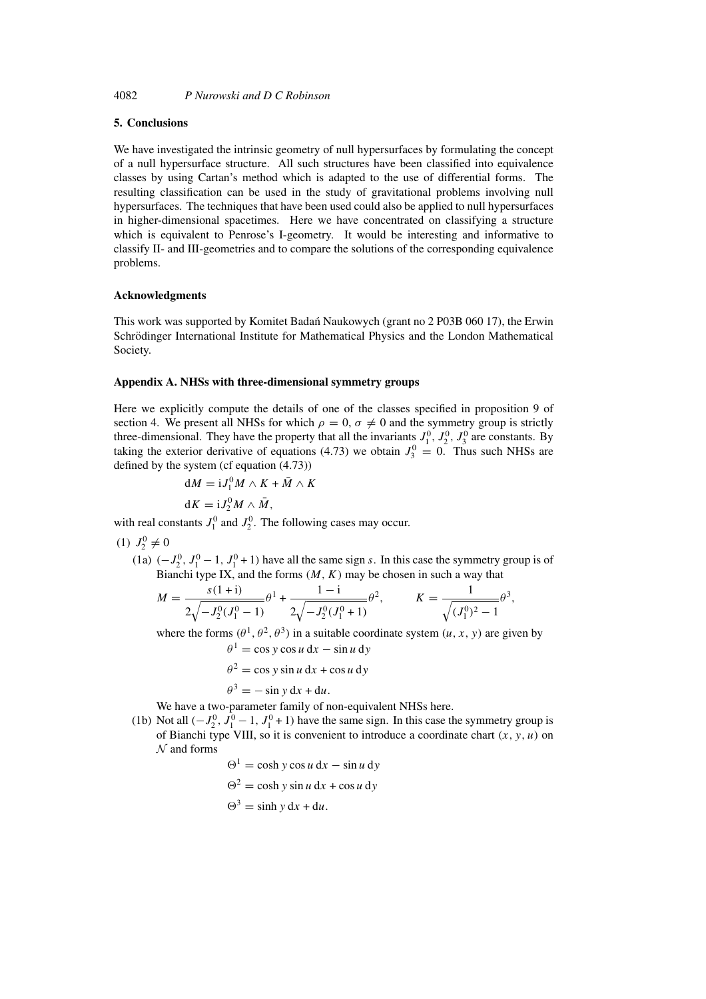# **5. Conclusions**

We have investigated the intrinsic geometry of null hypersurfaces by formulating the concept of a null hypersurface structure. All such structures have been classified into equivalence classes by using Cartan's method which is adapted to the use of differential forms. The resulting classification can be used in the study of gravitational problems involving null hypersurfaces. The techniques that have been used could also be applied to null hypersurfaces in higher-dimensional spacetimes. Here we have concentrated on classifying a structure which is equivalent to Penrose's I-geometry. It would be interesting and informative to classify II- and III-geometries and to compare the solutions of the corresponding equivalence problems.

#### **Acknowledgments**

This work was supported by Komitet Badan Naukowych (grant no 2 P03B 060 17), the Erwin ´ Schrödinger International Institute for Mathematical Physics and the London Mathematical Society.

#### **Appendix A. NHSs with three-dimensional symmetry groups**

Here we explicitly compute the details of one of the classes specified in proposition 9 of section 4. We present all NHSs for which  $\rho = 0$ ,  $\sigma \neq 0$  and the symmetry group is strictly three-dimensional. They have the property that all the invariants  $J_1^0$ ,  $J_2^0$ ,  $J_3^0$  are constants. By taking the exterior derivative of equations (4.73) we obtain  $J_3^0 = 0$ . Thus such NHSs are defined by the system (cf equation (4.73))

$$
dM = iJ_1^0 M \wedge K + \bar{M} \wedge K
$$
  

$$
dK = iJ_2^0 M \wedge \bar{M},
$$

with real constants  $J_1^0$  and  $J_2^0$ . The following cases may occur.

$$
(1) J_2^0 \neq 0
$$

(1a)  $(-J_2^0, J_1^0 - 1, J_1^0 + 1)$  have all the same sign s. In this case the symmetry group is of Bianchi type IX, and the forms  $(M, K)$  may be chosen in such a way that

$$
M = \frac{s(1+i)}{2\sqrt{-J_2^0(J_1^0 - 1)}} \theta^1 + \frac{1-i}{2\sqrt{-J_2^0(J_1^0 + 1)}} \theta^2, \qquad K = \frac{1}{\sqrt{(J_1^0)^2 - 1}} \theta^3,
$$

where the forms  $(\theta^1, \theta^2, \theta^3)$  in a suitable coordinate system  $(u, x, y)$  are given by

$$
\theta^{1} = \cos y \cos u \, dx - \sin u \, dy
$$

$$
\theta^{2} = \cos y \sin u \, dx + \cos u \, dy
$$

$$
\theta^{3} = -\sin y \, dx + du.
$$

We have a two-parameter family of non-equivalent NHSs here.

(1b) Not all  $(-J_2^0, J_1^0 - 1, J_1^0 + 1)$  have the same sign. In this case the symmetry group is of Bianchi type VIII, so it is convenient to introduce a coordinate chart  $(x, y, u)$  on  $N$  and forms

$$
\Theta^1 = \cosh y \cos u \, dx - \sin u \, dy
$$
  

$$
\Theta^2 = \cosh y \sin u \, dx + \cos u \, dy
$$
  

$$
\Theta^3 = \sinh y \, dx + du.
$$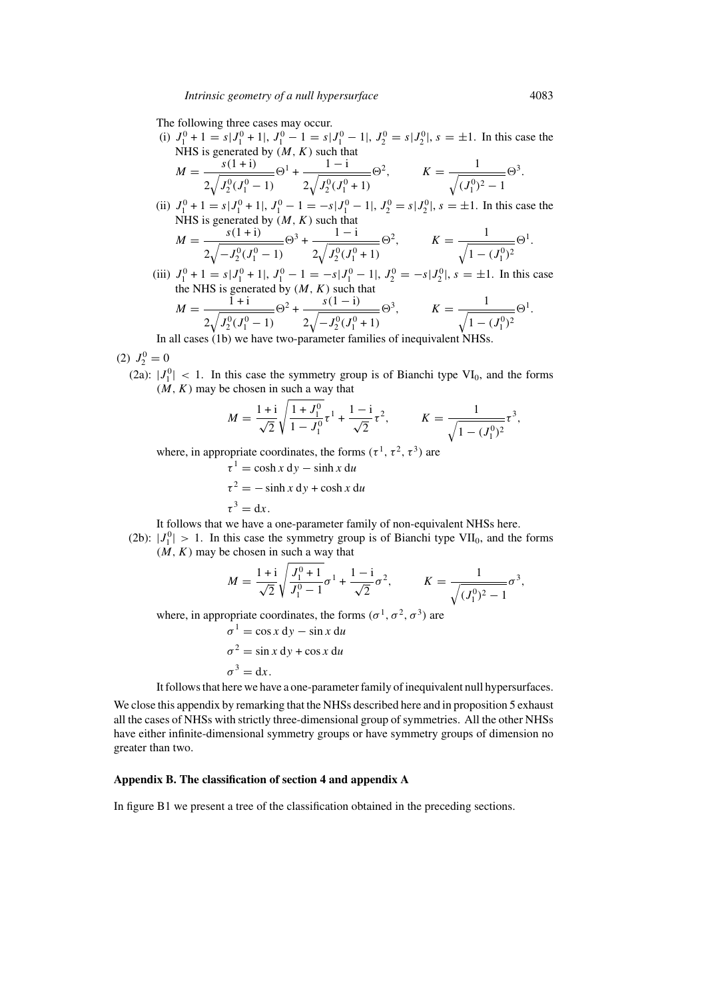The following three cases may occur.

(i)  $J_1^0 + 1 = s | J_1^0 + 1 |$ ,  $J_1^0 - 1 = s | J_1^0 - 1 |$ ,  $J_2^0 = s | J_2^0 |$ ,  $s = \pm 1$ . In this case the NHS is generated by  $(M, K)$  such that

$$
M = \frac{s(1+i)}{2\sqrt{J_2^0(J_1^0 - 1)}} \Theta^1 + \frac{1-i}{2\sqrt{J_2^0(J_1^0 + 1)}} \Theta^2, \qquad K = \frac{1}{\sqrt{(J_1^0)^2 - 1}} \Theta^3.
$$

(ii)  $J_1^0 + 1 = s | J_1^0 + 1 |$ ,  $J_1^0 - 1 = -s | J_1^0 - 1 |$ ,  $J_2^0 = s | J_2^0 |$ ,  $s = \pm 1$ . In this case the NHS is generated by  $(M, K)$  such that

$$
M = \frac{s(1+i)}{2\sqrt{-J_2^0(J_1^0 - 1)}}\Theta^3 + \frac{1-i}{2\sqrt{J_2^0(J_1^0 + 1)}}\Theta^2, \qquad K = \frac{1}{\sqrt{1 - (J_1^0)^2}}\Theta^1.
$$

(iii)  $J_1^0 + 1 = s | J_1^0 + 1 |$ ,  $J_1^0 - 1 = -s | J_1^0 - 1 |$ ,  $J_2^0 = -s | J_2^0 |$ ,  $s = \pm 1$ . In this case the NHS is generated by  $(M, K)$  such that

$$
M = \frac{1 + i}{2\sqrt{J_2^0(J_1^0 - 1)}}\Theta^2 + \frac{s(1 - i)}{2\sqrt{-J_2^0(J_1^0 + 1)}}\Theta^3, \qquad K = \frac{1}{\sqrt{1 - (J_1^0)^2}}\Theta^1
$$
  
ll cases (1b) we have two parameter families of in equivalent NHSs

In all cases (1b) we have two-parameter families of inequivalent NHSs.

(2)  $J_2^0 = 0$ 

(2a):  $|J_1^0|$  < 1. In this case the symmetry group is of Bianchi type VI<sub>0</sub>, and the forms  $(M, K)$  may be chosen in such a way that

$$
M = \frac{1+i}{\sqrt{2}} \sqrt{\frac{1+J_1^0}{1-J_1^0}} \tau^1 + \frac{1-i}{\sqrt{2}} \tau^2, \qquad K = \frac{1}{\sqrt{1-(J_1^0)^2}} \tau^3,
$$

where, in appropriate coordinates, the forms  $(\tau^1, \tau^2, \tau^3)$  are

$$
\tau^{1} = \cosh x \, dy - \sinh x \, du
$$
  

$$
\tau^{2} = -\sinh x \, dy + \cosh x \, du
$$
  

$$
\tau^{3} = dx.
$$

It follows that we have a one-parameter family of non-equivalent NHSs here.

(2b):  $|J_1^0| > 1$ . In this case the symmetry group is of Bianchi type VII<sub>0</sub>, and the forms  $(M, K)$  may be chosen in such a way that

$$
M = \frac{1+i}{\sqrt{2}} \sqrt{\frac{J_1^0 + 1}{J_1^0 - 1}} \sigma^1 + \frac{1-i}{\sqrt{2}} \sigma^2, \qquad K = \frac{1}{\sqrt{(J_1^0)^2 - 1}} \sigma^3,
$$

where, in appropriate coordinates, the forms  $(\sigma^1, \sigma^2, \sigma^3)$  are

$$
\sigma^{1} = \cos x \, dy - \sin x \, du
$$

$$
\sigma^{2} = \sin x \, dy + \cos x \, du
$$

$$
\sigma^{3} = dx.
$$

It follows that here we have a one-parameter family of inequivalent null hypersurfaces.

We close this appendix by remarking that the NHSs described here and in proposition 5 exhaust all the cases of NHSs with strictly three-dimensional group of symmetries. All the other NHSs have either infinite-dimensional symmetry groups or have symmetry groups of dimension no greater than two.

## **Appendix B. The classification of section 4 and appendix A**

In figure B1 we present a tree of the classification obtained in the preceding sections.

.